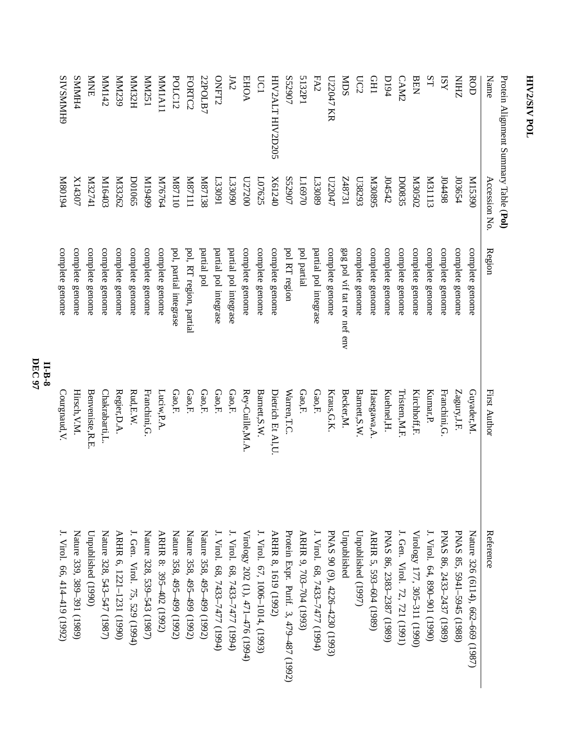| Protein Alignment Summary Table (Pol) |                     |                             |                   |                                        |
|---------------------------------------|---------------------|-----------------------------|-------------------|----------------------------------------|
| Name                                  | <b>Accession No</b> | Region                      | First Author      | Reference                              |
| <b>ROD</b>                            | 06£51M              | complete genome             | Guyader,M.        | Nature 326 (6114), 662–669 (1987)      |
| ZHIN                                  | 103654              | complete genome             | Zagury, J.F.      | PNAS 85, 5941-5945 (1988)              |
| ISY                                   | 86t <sub>t</sub> 0ſ | complete genome             | Franchini, G      | PNAS 86, 2433-2437 (1989)              |
| ST                                    | <b>M31113</b>       | complete genome             | Kumar, P.         | J. Virol. 64, 890-901 (1990)           |
| <b>BEN</b>                            | Z0S020              | complete genome             | Kirchhoff, F.     | Virology 177, 305-311 (1990)           |
| CAM2                                  | <b>D00835</b>       | complete genome             | Tristem, M.F.     | I. Gen. Virol. 72, 721 (1991)          |
| <b>D194</b>                           | 104542              | complete genome             | Kuehnel, H.       | PNAS 86, 2383-2387 (1989)              |
| <b>CHI</b>                            | S680 <sub>E</sub> N | complete genome             | Hasegawa, A.      | ARHR 5, 593-604 (1989)                 |
| UC2                                   | L38293              | complete genome             | Barnett, S.W      | Unpublished (1997)                     |
| <b>NDS</b>                            | LE <sub>7873</sub>  | gag pol vif tat rev nef env | Becker, M.        | Unpublished                            |
| U22047 KR                             | L <sub>22047</sub>  | complete genome             | Kraus, G.K.       | PNAS 90 (9), 4226-4230 (1993)          |
| FA2                                   | E33089              | partial pol integrase       | Gao,F.            | J. Virol. 68, 7433-7477 (1994)         |
| 5132P1                                | D <sub>16970</sub>  | pol partial                 | Gao,F.            | ARHR 9, 703-704 (1993)                 |
| S52907                                | S52907              | pol RT region               | Warren, T.C       | Protein Expr. Purif. 3, 479-487 (1992) |
| HIV2ALT HIV2D205                      | X61240              | complete genome             | Dietrich Et Al,U. | ARHR 8, 1619 (1992)                    |
| UC1                                   | L07625              | complete genome             | Barnett, S.W.     | J. Virol. 67, 1006–1014, (1993)        |
| <b>EHOA</b>                           | 027200              | complete genome             | Rey-Cuille, M.A   | Virology 202 (1), 471-476 (1994)       |
| <b>JA2</b>                            | L33090              | partial pol integrase       | Gao,F.            | J. Virol. 68, 7433–7477 (1994)         |
| <b>ONFT2</b>                          | L33091              | partial pol integrase       | Gao,F.            | I. Virol. 68, 7433–7477 (1994)         |
| 22POLB7                               | <b>M87138</b>       | partial pol                 | Gao,F.            | Nature 358, 495-499 (1992)             |
| FORTC2                                | I1123N              | pol, RT region, partial     | Gao,F.            | Nature 358, 495-499 (1992)             |
| POLC12                                | 01128M              | pol, partial integrase      | Gao,F.            | Nature 358, 495-499 (1992)             |
| <b>MMIA11</b>                         | M76764              | complete genome             | Luciw, P.A.       | ARHR 8: 395-402 (1992)                 |
| MM251                                 | 66t6 I M            | complete genome             | Franchini, G.     | Nature 328, 539–543 (1987)             |
| H <sub>22H</sub>                      | <b>D01065</b>       | complete genome             | Rad, E.W          | J. Gen. Virol. 75, 529 (1994)          |
| <b>MM239</b>                          | <b>M33262</b>       | complete genome             | Regier, D.A.      | ARHR 6, 1221-1231 (1990)               |
| Z71MN                                 | K116403             | complete genome             | Chakrabarti,L.    | Nature 328, 543-547 (1987)             |
| <b>NNKE</b>                           | It <sub>12741</sub> | complete genome             | Benveniste, R.E.  | Unpublished (1990)                     |
| <b>SMMH44</b>                         | X14307              | complete genome             | Hirsch, V.M.      | Nature 339, 389-391 (1989)             |
| <b>SIVSMMH9</b>                       | <b>P6108M</b>       | complete genome             | Courgnaud, V.     | J. Virol. 66, 414–419 (1992)           |
|                                       |                     |                             |                   |                                        |

**II-B-8 DEC 97**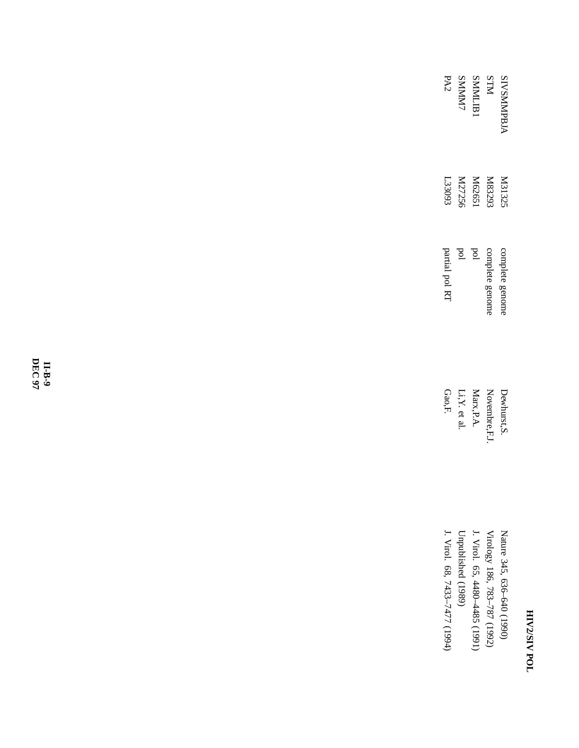| PA2                           | <b>SMMM</b>                    | SMMLJB.                       | KIN                         | <b>INSMMPBJ</b>            |
|-------------------------------|--------------------------------|-------------------------------|-----------------------------|----------------------------|
| L33093                        | M27256                         | M62651                        | <b>M83293</b>               | M3132:                     |
| partial pol R1                | pd                             | pd                            | complete genom              | complete genom             |
| Gao,F.                        | $\mathbf{i}, \mathbf{Y}$ et al | Marx, P.A.                    | Vovembre, F.                | )ewhurst,'                 |
| J. Virol. 68, 7433-7477 (1994 | Unpublished (1989)             | J. Virol. 65, 4480-4485 (1991 | Virology 186, 783–787 (1992 | Nature 345, 636–640 (1990) |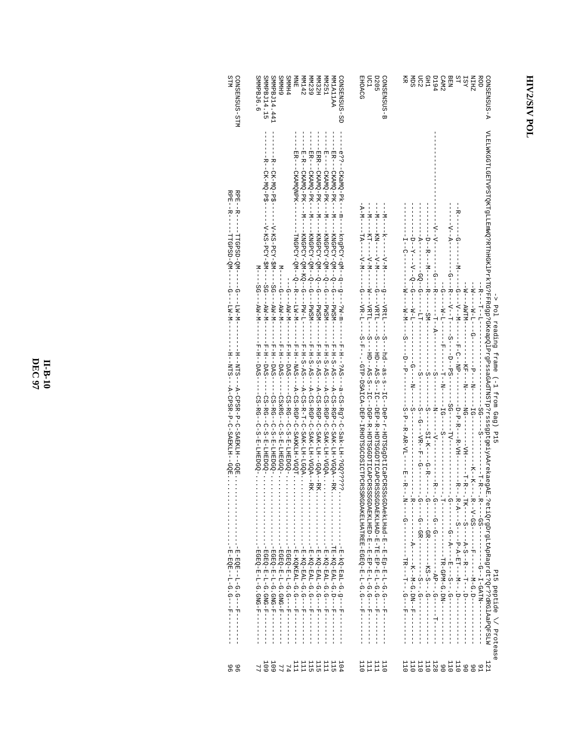| STIM<br>CONSENSUS-STM                                                                                                                                                 | SMMPBJ6.6<br>SMMPBJ14.15<br>SMMPBJ14.441<br>CONSENSUS-SD<br><b>GHMMS</b><br><b>SMMN54</b><br>NDVE<br>MMIAILAA<br><b>MM142</b><br>MM239<br><b>HZEMW</b><br>VM251                                                                                                                                                                                                                                                                                                                                                                                                                                                                                                                                                                                                                                                                                                      | <b>EHOACG</b><br><b>UC1</b><br><b>D205</b><br><b>G-SUSNESNO</b>                                                                                                                                                                                                                                                                                             | <b>A-SUSNESMOD</b><br>Я<br><b>P6Td</b><br><b>BEN</b><br>ST<br>ZHIN<br><b>ROD</b><br>Ř<br>DC2<br>CH <sub>1</sub><br>CAM <sub>2</sub><br><b>IST</b>                                                                         |
|-----------------------------------------------------------------------------------------------------------------------------------------------------------------------|----------------------------------------------------------------------------------------------------------------------------------------------------------------------------------------------------------------------------------------------------------------------------------------------------------------------------------------------------------------------------------------------------------------------------------------------------------------------------------------------------------------------------------------------------------------------------------------------------------------------------------------------------------------------------------------------------------------------------------------------------------------------------------------------------------------------------------------------------------------------|-------------------------------------------------------------------------------------------------------------------------------------------------------------------------------------------------------------------------------------------------------------------------------------------------------------------------------------------------------------|---------------------------------------------------------------------------------------------------------------------------------------------------------------------------------------------------------------------------|
| RΡΕΙ-- Σ - - - - - - Η Η ΩΡΩΟΙ- ΩΜΙ- - - - - - - ΠΜΙ-Μ--<br><b>RPR--R----</b><br>-- MO-GSdD-LI-<br>--H-NTS---A-CPSRFREELH-GQE.<br>-H1-NH2---A-CD2RFP-C-S2FXIXIX--GOE: | ------BRE--CKAMO-PK----M--<br>- - - H - - - - - CKAMO - PK - - - M - -<br>--ER---CKAMQNPK--<br>--BR---CKAMO-PR---M--<br>- - KNGPCY-QM--Q----DWSM<br>- KNGPCY-QN--0----PWSM<br>- KNGPCY-QN--Q----DWSM<br>-KNGPCY-QM-KQ--G<br>-TNGPCY-QN--R---R--N<br>$M---SG---$<br>$M---G---NN-N$<br>$M-MK$<br>$T-Md--$<br>$-M-M-1$<br>-E-H--H--F-B<br>$-H$ -H-H-DAS<br>$-H-H-H-HS$<br>$-F-HT-S-RT-S$<br>$-F-H-S-AS-$<br>$-F-H-S-H-S$<br>$-E-EI$<br>$-H$ - $H$ - $-H$ - $H$<br>$-F-F-F-F-S$<br>$-E-H-S-H-S$<br>$-F-H-S-H-S$<br>-F-H--?AS---a-CS-Rg?-C-Sak-LH-?GQ?????<br>--A-CS-RGP-C-SAKKLH-VGQT<br>--A-CS-RGP-C-SAK-LH--GQA--RK.<br>--A-CS-RGP-C-SAK-LH-VGQA<br>$-$ A-CS-R-T-C-SAK-LH-LGQA<br>----CS-RG--C-8-EHEDGO-<br>$-CS-FG--C-S-EHEDGQ-$<br>-CS-RG--C-SFLHEDGQ-<br>-CSxEG--C-S-E-FHEGGO-<br>$-CS - RG - C - C - S - LHPDCQ - \ldots$<br>. - М-КОО-ДАЦ-0. . 0----- д<br>$-1 -$ | $-7 - 7 - -$<br>-- N--<br>$-1$ - $-1$<br>$- -M - -$<br>- - KN - - - - - V - M - - - - - - - - V H T - - -<br>- KT - - - - V - M - - - - - - M - - - VRT L - -<br>--S---hd--as-s-s--IC--DeP-r-HDISGgDtICaPCRSS<br>--S----HD---AS-S---IC---DGP-R-HDTSGGDTICAPCRSSSGDARKLHRD-E--E-EP-EP-L-G.G----F----------------------<br>sGDAekLHad-E-E-E-E-E-E-F-F-F-F-F-- | VLEIMKGGTLGETVPSTOKTgILEIMMO?RThHGKlPxkTG?PFRdgp?GKeapQlPxgPsaGAdTNSTp?rsssgptgeiyAArekaegAr.?etiQrgDx1.com/afqResqrdt?Qr3?9RGlAaPQFSLW<br>$-1 - 5 - 1$<br>Pol reading frame (-1 from Gag) P15<br>Pl5 peptide // Protease |
| ဖ ဖ<br>၈ ၈                                                                                                                                                            | 109                                                                                                                                                                                                                                                                                                                                                                                                                                                                                                                                                                                                                                                                                                                                                                                                                                                                  | <sup>111</sup><br>$\frac{1110}{111}$<br>110                                                                                                                                                                                                                                                                                                                 | 110<br>11<br>1921<br>1111<br>11111<br>$\begin{array}{c} 0.6 \\ 0.6 \\ 0.6 \end{array}$<br><b>121</b>                                                                                                                      |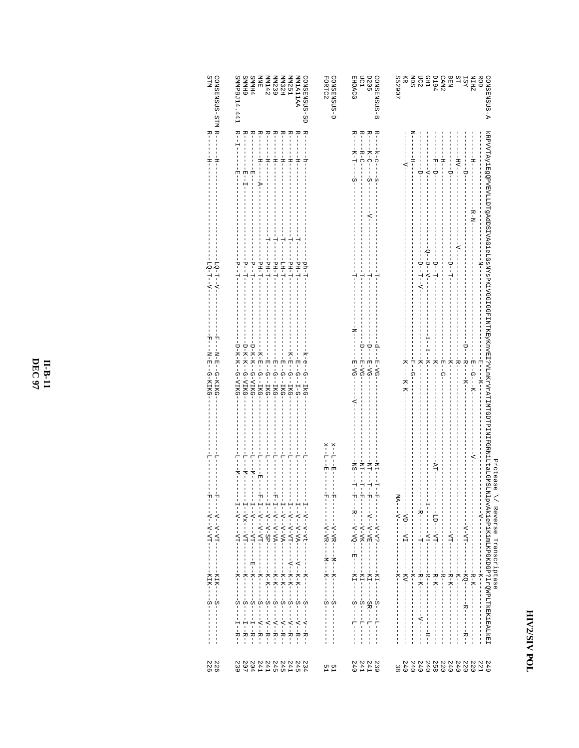| STM<br>CONSENSUS-STM R--                   | 6 HMMS<br><b>SMMH4</b><br>MM142<br>SMMPBJ14.441<br>MRI<br>E                                                  | MM239<br>MN32H<br><b>MN251</b><br>CONSENSUS-SD<br>AAILAIMW                                                                  | CONSENSUS-D<br>FORTC2                                             | EHOACG<br><b>D205</b><br>UC1<br>SUSENS<br>SUSENS<br>NO <sub>C</sub>                                   | GONSENSUS-A<br>552907<br>$CAM24$<br>$D194$<br>$D122$<br>$MDS$<br><b>REA</b><br>BER<br>REA<br>ROD<br>ZHIN             |                                      |
|--------------------------------------------|--------------------------------------------------------------------------------------------------------------|-----------------------------------------------------------------------------------------------------------------------------|-------------------------------------------------------------------|-------------------------------------------------------------------------------------------------------|----------------------------------------------------------------------------------------------------------------------|--------------------------------------|
| $R -$<br>$\frac{1}{1}$<br>$\frac{1}{1}$    | $R^--$<br>R--<br>$R^{--}$<br>$R^{--}$<br>$\frac{1}{1}$<br>$\frac{1}{1}$<br>변<br>변<br>円<br> <br>$\frac{1}{2}$ | $R$ – –<br>$R$ – –<br>$R$ – –<br>R--<br>$R$ – –<br>$-1$ + $-1$ + $-1$<br>$-1$ + $-1$ + $-1$<br>$-1$ + $-1$<br>$\frac{1}{4}$ |                                                                   | R-----R-H--<br>R----R-C-<br>R----K-C-<br>$R---K-C$<br>$-5 - -$<br>$\frac{1}{9}$<br>$-5 -$             | $-1$<br>$- H -$<br>$rac{1}{1}$<br>$\frac{1}{1}$<br>$-1 - 1 - 1$<br>$-1$ $-1$<br>$-1$ $-1$<br>H<br>--                 |                                      |
| $-10 -1 -1 - 0 - 0$<br>$-10 - 7 - -7 - -7$ | $L-Hd$<br>PH-T-<br>ローコ                                                                                       | $L-Hd$<br>$L-Hd$<br>$L-Hd$<br>ph-T<br>$L-HT$                                                                                |                                                                   | 부<br>ŧ                                                                                                | $R-N-$<br>- - コーコー<br>コーユーユート<br>ローユー                                                                                |                                      |
| ートーー<br>$-N-E--G-KIKG$                     | -D-K-K--G-AIKG<br>-D-K-K--G-AIKG<br>D-K-K-G-VIKG<br>$-K - H - G - -I K G$<br>--E---G--IKG                    | $-K-H$ -R- $-$ LKG<br>-k-e--G--IkG<br>--E--G--IKG<br>$-1 = -5 - -1 - 0$                                                     |                                                                   | $-D$ --H-NG-<br>$-9$ - $-1$ - $-1$<br>$-0$<br>$-5 - \Lambda -$                                        | Ţ<br>à<br>$I - K - K$<br>- - K - -<br>- K<br>- -<br>E-G-<br>$K----$<br>田 – G-<br>$E$ – $G$ – – $K$<br>ローー スーー<br>スーズ |                                      |
| ÷<br>루                                     | $-1 - -N - -1$<br>- 1- - - - - 1<br>$L--N---N$<br>투<br>$-M$                                                  |                                                                                                                             | $x$ --L--E<br>$\mathbf{X}=-\mathbf{L}=-\mathbf{E}$<br>$\mathsf I$ | $-L=-2M-$<br>-<br>N + - - - - - -<br>- F コート・トート コール・コール ファイン ファイン ファイン ファイル・ファイル コール コート コート コート・コート | ╬<br>$-LA$<br>NlpvAkiePiKimLKPGKDGP?lrQWPLTkEKiEALkEI<br>エーエーエーエス エーエーエーエーエーエーエーエーエー                                 | Protease<br>\/ Reverse Transcriptase |
| 226<br>226                                 | $304$<br>207<br><b>241</b><br>241<br>239                                                                     | 2445<br>2445<br>2445<br>234                                                                                                 | 51<br>1 1                                                         | 240<br>241<br>241<br>239                                                                              | 240<br>240<br>240<br>258<br>2440<br>220<br>240<br>240<br>220<br>220<br>221<br>674<br>38                              |                                      |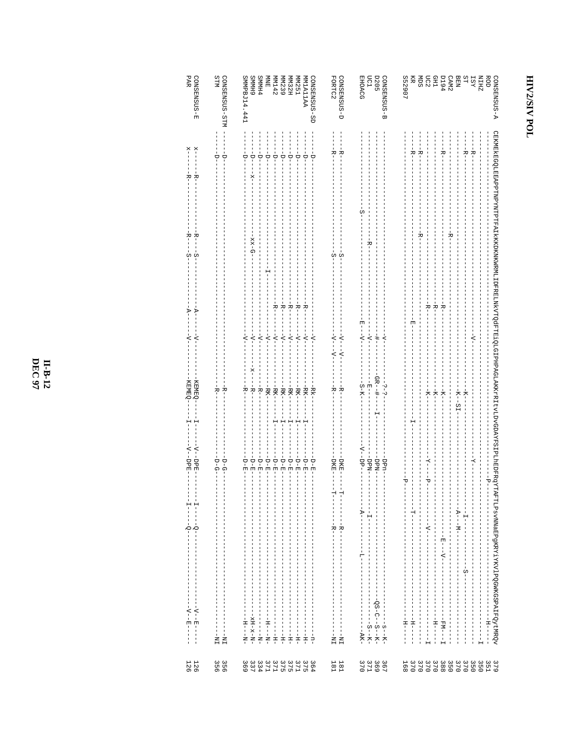| PAR<br>GONSENSUS-E                                                                 | STIM<br>CONSENSUS-STM                                         | SMMPBJ14.441<br><b>SMMH4</b><br>6 HMMS<br>NPE<br>MM142<br>MM32H<br><b>MM251</b><br><b>MMIA11AA</b><br>CONSENSUS-SD                                                                                                                                                                                                          | FORTC2<br>GONSENSUS-D                                   | <b>D205</b><br><b>EHOACG</b><br><b>DC1</b><br>GONSENSUS-B                                                                                                                            | S52907<br><b>BURE</b><br><b>BEN<br/>CAM2<br/>D194</b><br>ST<br>XSI<br>ZHIN<br>ROD<br>A-SUSMERSNOS<br>Ř                                                                                                                                                                                                                                                           |
|------------------------------------------------------------------------------------|---------------------------------------------------------------|-----------------------------------------------------------------------------------------------------------------------------------------------------------------------------------------------------------------------------------------------------------------------------------------------------------------------------|---------------------------------------------------------|--------------------------------------------------------------------------------------------------------------------------------------------------------------------------------------|------------------------------------------------------------------------------------------------------------------------------------------------------------------------------------------------------------------------------------------------------------------------------------------------------------------------------------------------------------------|
| ×<br>$\frac{1}{2}$<br>학<br>지                                                       | $\frac{1}{2}$<br>$\overset{-}{\Box}$                          | $-1 - 1 -$<br>ţ<br>i<br>T<br>÷<br>t<br>T<br>j<br>T<br>÷<br>$\frac{1}{\sqrt{2}}$<br>Ġ<br>Ġ<br>ř                                                                                                                                                                                                                              | ٦Ļ<br>۳                                                 | C                                                                                                                                                                                    | CEKMEKREGOLEEAPPTNPYNTPTFATKKOKNKWKWRMLIDFRELNKYTQdFTE1QLGIPHPAGLAKKKPRITATLYGDAYFSIPLOFRGYTA<br>--R-<br>۳<br>ᆽ                                                                                                                                                                                                                                                  |
| خ<br>ا<br>R-<br>w<br>ပှ                                                            |                                                               | $D-XX$                                                                                                                                                                                                                                                                                                                      | w<br>လှ                                                 |                                                                                                                                                                                      | R-<br>진                                                                                                                                                                                                                                                                                                                                                          |
| $\overline{A}$<br>$\overline{Y}$                                                   |                                                               | $-\frac{1}{K}$<br>$-\mathbf{R}$ –<br>침<br>R-<br>خ<br>۱                                                                                                                                                                                                                                                                      |                                                         |                                                                                                                                                                                      | $\mathbf{k}^-$<br>$\frac{1}{2}$<br>۳i<br>団                                                                                                                                                                                                                                                                                                                       |
| ₹<br>$\leq$                                                                        |                                                               | $\dot{z}$<br>$-\Delta$ -<br>$-\Delta$ -<br>╬<br>$\overline{z}$<br>$-\Delta$ -<br>$\overline{z}$<br>$\overline{z}$<br>$\overline{z}$                                                                                                                                                                                         | $-\Lambda$ - - - $\Lambda$ -<br>$-\Delta$ - $-\Delta$ - | 변<br>$\overline{z}$<br>$-\Delta$ -<br>$\frac{1}{1}$                                                                                                                                  | $\overline{z}$                                                                                                                                                                                                                                                                                                                                                   |
| KEMEQ<br>KEMEQ                                                                     | $-K -$<br>노<br>도                                              | --RK-<br>$-KK-$<br>봉<br>$-K$ <sup>-</sup><br>$-$ RK $-$<br>$-RK-$<br>ャトー<br>$-RK$<br>-RK-<br>$-RK$                                                                                                                                                                                                                          | 贵<br>부                                                  | -<br>0R--<br>-S-K-<br>변<br>ن.<br>ا<br>$\frac{1}{1}$<br>ن.<br>ا<br>ı<br>п                                                                                                             | 적<br>추<br>Ϋ́<br>$K--ST$<br>주                                                                                                                                                                                                                                                                                                                                     |
|                                                                                    |                                                               | ŧ                                                                                                                                                                                                                                                                                                                           |                                                         |                                                                                                                                                                                      |                                                                                                                                                                                                                                                                                                                                                                  |
| $-V$ -DPE<br>$-\Delta$ -DPE                                                        | $-\frac{1}{2}$<br>-p-G                                        | --<br>日-日<br>$-1 - E -$<br>しゃく<br>$-1 - E$<br>$\frac{1}{2}$<br>しーロー<br>$-1 - E$<br>しーロー<br>$-1-1$<br>$-1 - E$                                                                                                                                                                                                               | -DKE-<br><b>DKE</b>                                     | $-5P$<br>-udd-<br>-Ndd-<br>-Ndd-                                                                                                                                                     | $-K-$<br>$-K-$<br>t-<br>−d−<br>₫                                                                                                                                                                                                                                                                                                                                 |
| $\frac{1}{1}$<br>$\frac{1}{1}$<br>$-1 - 0 -$                                       | $\frac{1}{1}$<br>$\overline{\phantom{a}}$                     | $\frac{1}{1}$<br>$\frac{1}{1}$<br>$-1$ $-1$ $-1$ $-1$ $-1$ $-1$<br>$\frac{1}{1}$<br>$\frac{1}{1}$<br>т<br>т<br>т<br>$\begin{array}{c} \n 1 \\  1 \\  1\n \end{array}$<br>$-1$ $-1$ $-1$ $-1$<br>$\begin{array}{c} 1 \\ 1 \\ 1 \\ 1 \end{array}$<br>í                                                                        | н<br>Н<br>Í<br>J<br>----R----<br>$\mathsf I$<br>ı       | - - - - - - - - -<br>$-1 - 1 - -1$<br>I<br>Ļ<br>$\frac{1}{1}$<br>$-1 - 1 - 1 - 1 - 1$<br>I<br>$\begin{array}{c} 1 \\ 1 \\ 1 \\ 1 \end{array}$<br>$\frac{1}{2}$<br>$\frac{1}{1}$<br>I | $-1$ $-1$ $-1$ $-1$ $-1$ $-1$ $-1$<br>$-1$ $-1$ $-1$ $-1$ $-1$ $-1$ $-1$<br>$-1 - 1 - 1 - 1 - 1$<br>$--\mathbf{A}--\mathbf{M}--$<br>- - - - - - V - - - - - - - - -<br>$\frac{1}{1}$<br>- - - - - - - - E - - - V - - - - - - -<br>$\frac{1}{1}$<br>I<br>$\frac{1}{1}$<br>I<br>$\frac{1}{1}$<br>í<br>$\frac{1}{1}$                                               |
| $\mathbf{I}$<br>$\frac{1}{1}$<br>$- - - - - - - - - - - - -$<br>$-1$ - $-1$ - $-1$ | $\frac{1}{1}$<br>$\frac{1}{1}$<br>$- - - - -$<br>$- - \nabla$ | $\frac{1}{1}$<br>$\begin{array}{c} 1 \\ 1 \\ 1 \\ 1 \end{array}$<br>$-1$ $-1$ $-1$ $-1$ $-1$<br>$\begin{array}{c} \n 1 \\  1 \\  1\n \end{array}$<br>I<br>-----------<br>$-1$ - $-1$ - $-1$ - $-1$ - $-1$<br>$-1$ - $-1$ - $-1$ - $-1$<br>$-NT-X-X-X$ -<br>$\frac{1}{1}$<br>$-1 - 1 - 1$<br>$-1 - -1 -$<br>$-H -$<br>$-H -$ | ł<br>$\frac{1}{1}$<br>т<br>J<br>$TM$ – –<br>$TM = -$    | $\begin{array}{c} 1 \\ 1 \\ 1 \end{array}$<br>$- - - - - 5 - - - - - - - -$<br>Î<br>$\frac{1}{1}$<br>Ť,<br>$\sf I$<br>$-8 - -K -$<br>$-8 - -K -$<br>$---AR -$                        | FTLPsvNNaEPgKRYiYKVlPQGWKGSPAIFQytMRQv<br>$-1$ $-1$ $-1$ $-1$ $-1$<br>$-5 - -$<br>$-1$ $-1$ $-1$ $-1$<br>$\begin{array}{c} 1 \\ 1 \\ 1 \end{array}$<br>$-1$ $-1$ $-1$ $-1$<br>$\begin{array}{c} \n 1 \\  1 \\  1\n \end{array}$<br>í<br>I<br>I<br>$\frac{1}{1}$<br>$- - - - - - -$<br>$-1$ $-1$ $-1$ $-1$ $-1$<br>$-1$ H <sub>1</sub> + $-1$ + $-1$ + $-1$<br>I. |
| 126<br>126                                                                         | 3566                                                          | 3333333333300 セスフェード ちょうしょう                                                                                                                                                                                                                                                                                                 | $\begin{array}{c} 1.81 \\ 1.81 \end{array}$             | 3<br>6<br>6<br>8<br>7<br>6<br>7<br>6<br>7<br>6<br>7<br>6                                                                                                                             | 3<br>2 2 2 3 2 3 4 4 5 6 6<br>2 2 3 3 4 6 6 8 8                                                                                                                                                                                                                                                                                                                  |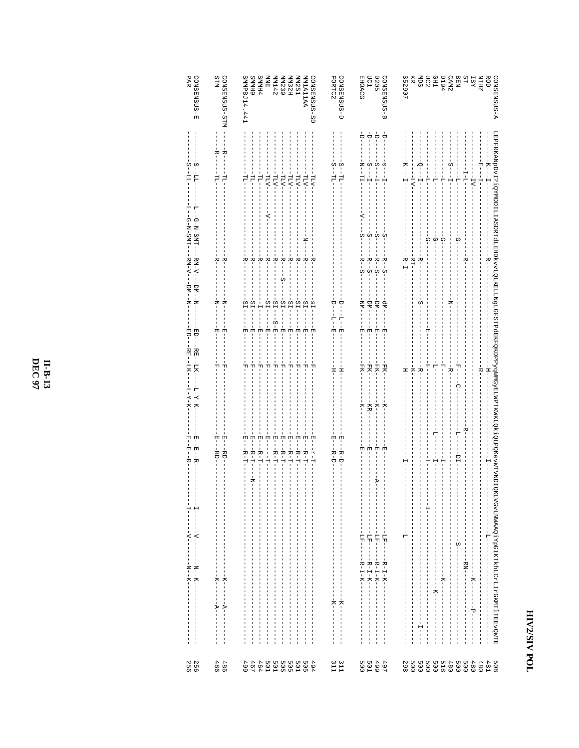| PAR<br>CONSENSUS-E                                                                                          | STIM<br>CONSENSUS-STM                                                                         | 6 HMMS<br><b>SMMH4</b><br>CONSENSUS-SD<br>SMMPBJ14.441<br>MN239<br>MN142<br><b>MM32H</b><br><b>MM251</b><br>AAILAIMM<br>目                                                                                                                                                                                                                                                                                                                                                                                                                                                                                                                                                                                                                                                                                                                                                               | CONSENSUS-D<br>FORTC2<br>LC1<br><b>D205</b><br>EHOACG<br>CONSENSUS-<br>ω                                                                                                                                                                                                                                                            | 552907<br><b>g</b> ge<br>BEN<br>CAM2<br>D194<br>ROD<br>Ř<br>NIEN<br>TSY<br>NIEN<br>A-SUSMERSOC                                                                                                                                                                                                                                                                                                                                                          |
|-------------------------------------------------------------------------------------------------------------|-----------------------------------------------------------------------------------------------|-----------------------------------------------------------------------------------------------------------------------------------------------------------------------------------------------------------------------------------------------------------------------------------------------------------------------------------------------------------------------------------------------------------------------------------------------------------------------------------------------------------------------------------------------------------------------------------------------------------------------------------------------------------------------------------------------------------------------------------------------------------------------------------------------------------------------------------------------------------------------------------------|-------------------------------------------------------------------------------------------------------------------------------------------------------------------------------------------------------------------------------------------------------------------------------------------------------------------------------------|---------------------------------------------------------------------------------------------------------------------------------------------------------------------------------------------------------------------------------------------------------------------------------------------------------------------------------------------------------------------------------------------------------------------------------------------------------|
| ÖΩ<br>w<br>-77<br>Ę                                                                                         | $-$ B--<br>$-R-$<br>-<br>11-<br>녑                                                             | $-L\Gamma\Lambda-$<br>÷<br>Ė-<br>$-171-$<br>$-NTL$<br>$-NTL$<br>$-NTL$<br>$-LT\Lambda$<br>FT-<br>$-LIV-$                                                                                                                                                                                                                                                                                                                                                                                                                                                                                                                                                                                                                                                                                                                                                                                | $\frac{1}{\sqrt{1}}$<br>$\frac{1}{\sqrt{1}}$<br>ーー<br>÷-<br>-- 2 - - 11 -<br>i,<br>$-5$<br>$-5$<br>s-<br>ú<br>$-1 - 1 -$<br>$-1 - 1 -$<br>$\frac{1}{1}$<br>변<br>FI-                                                                                                                                                                 | $-K$ - $-1$<br>$-2 - -1 - -1 - -$<br>-K----H-<br>$-5 - -1 - -$<br>$-1 - 1 -$<br>$- - -1 - 7 - - -$<br>ーーーーー<br>$-1$ $-1$ $-1$<br>$\frac{1}{4}$<br>$-1$<br>$-17V -$                                                                                                                                                                                                                                                                                      |
| 투<br>부<br>$-G-N-SMT---T$<br>$G-N-SM-L$                                                                      | ÷<br>⊦<br>R-                                                                                  | -¤−<br>i<br>K<br>$-K$ – $K$<br>부<br>-k<br>- -<br>÷<br>⊢<br>÷<br>⊢<br>÷<br>⊢<br>÷<br>⊦<br>÷<br>⊢<br>R-                                                                                                                                                                                                                                                                                                                                                                                                                                                                                                                                                                                                                                                                                                                                                                                   | $-\Delta$ -<br>w<br>w<br>က် လုံ<br>т                                                                                                                                                                                                                                                                                                | LEPFRKANpDv1?1QYNDDILIIASDRTdILEASDRTdILENtvvLQLKELLNJGLGFSTPdEKFQKDPPyqWNGYELWPTKWKLQXtIQLAQKEVWTVYDIQK<br>$\frac{1}{\Omega}$<br>ဂှ<br>Ö<br>ဂူ<br>-RT-<br>.<br>포-<br>¤−                                                                                                                                                                                                                                                                                |
| $-RM-V$ -<br>$-BZ - C - C - C - C$<br>$-5M - 1$                                                             | $\frac{1}{2}$<br>Ż                                                                            | $-5-$<br>$-SI--S-FE$<br>$-51 -$<br>$-51 -$<br>$-21 -$<br>$-21 - -$<br>$-51$<br>$-52-$<br>Ť<br>$-51-$<br>$-10$<br>$\frac{1}{1}$                                                                                                                                                                                                                                                                                                                                                                                                                                                                                                                                                                                                                                                                                                                                                          | $R - S$<br>$R = -S$ .<br>$R = -S$ .<br>$R = -S$ .<br>$-MI$<br>$-MM$ -<br>$-Mq-$<br>$-MP-$<br>ť<br>$-\frac{1}{1}$                                                                                                                                                                                                                    | $R - I -$<br>C                                                                                                                                                                                                                                                                                                                                                                                                                                          |
| 팀<br>FD-<br>RE-<br>$R_E$ – –<br>LK-                                                                         | 団<br>固<br>피<br>먹                                                                              | Î<br>$\frac{1}{2}$<br>÷,<br>,<br>因<br>団<br>団<br>団<br>団<br>固<br>団<br>먹<br>IJ<br>피<br>피<br>먹<br>피<br>피<br>먹<br>먹                                                                                                                                                                                                                                                                                                                                                                                                                                                                                                                                                                                                                                                                                                                                                                          | 부<br>$\frac{1}{2}$<br>団<br>団<br>固<br>Ħ<br>団<br>団<br>FK-<br>$-K-$<br>FK-<br>FK-                                                                                                                                                                                                                                                      | 변<br>별<br>$-K$ -<br>견<br>두                                                                                                                                                                                                                                                                                                                                                                                                                              |
| $-5K -$<br>$-L-X-K-$<br>$-X-X-T$                                                                            |                                                                                               |                                                                                                                                                                                                                                                                                                                                                                                                                                                                                                                                                                                                                                                                                                                                                                                                                                                                                         | 푸<br>푸<br>$-K$<br>$-1$ $-1$<br>$-KR$ -<br>$-K$ -                                                                                                                                                                                                                                                                                    | -<br>1<br>1<br>퍼<br>------<br>÷<br>−<br>Ŧ<br>R-1<br>Ģ                                                                                                                                                                                                                                                                                                                                                                                                   |
| 固<br>団<br>۳ļ<br>변<br>ᅑ<br>ᄫ                                                                                 | E-1-RD-<br>団<br>$-BD$                                                                         | E-1-R-T-<br>団<br>변<br>団<br>因 - - - 72 - TT -<br>면<br>변<br>E-1-R-T-<br>ローー<br>$-R-T-$<br>$-1 - R - T -$<br>--<br>B-H-<br>$-2 - 1.$<br>- H-T-<br>$-1$                                                                                                                                                                                                                                                                                                                                                                                                                                                                                                                                                                                                                                                                                                                                     | 뿌<br><b>E-1-R-D-</b><br>$-P$ -R-D-<br>변<br>団<br>변<br>변                                                                                                                                                                                                                                                                              | $-1 - 1$<br>R-<br>부<br>$-10$<br>÷<br>÷<br>Ĥ                                                                                                                                                                                                                                                                                                                                                                                                             |
| $\frac{1}{1}$<br>$\frac{1}{1}$<br>÷<br> <br>$\frac{1}{2}$<br>$\frac{1}{2}$                                  | $\frac{1}{1}$<br>$\overline{\phantom{a}}$<br>I<br>$\frac{1}{1}$                               | Ż<br> <br>$-1$ $-1$ $-1$ $-1$ $-1$ $-1$ $-1$<br>$\frac{1}{2}$<br>$\begin{array}{c} \n 1 \\  1 \\  1\n \end{array}$<br>$\begin{array}{c} \n 1 \\  1 \\  1\n \end{array}$<br>T<br>Ť<br>I<br>$\mathsf I$<br>I<br>$\begin{array}{c} 1 \\ 1 \\ 1 \end{array}$<br>Ţ<br>$\mathsf I$<br>Ţ<br>J<br>T<br>$\frac{1}{1}$<br>I.                                                                                                                                                                                                                                                                                                                                                                                                                                                                                                                                                                      | $\mathbb{F}$<br>$\begin{array}{c} 1 \\ 1 \\ 1 \end{array}$<br>$-1$ $-1$ $-1$ $-1$<br>$\frac{1}{1}$<br>$\frac{1}{1}$<br>$\frac{1}{1}$<br>Ť.<br>j.<br>I<br>$\mathsf I$<br>т<br>J.<br>$\overline{\phantom{a}}$<br>J,<br>т<br>Ţ<br>1<br>л<br>1                                                                                          | $\frac{1}{1}$<br>$\frac{1}{1}$<br>$\begin{array}{c} 1 \\ 1 \\ 1 \end{array}$<br>$\mathbf{I}$<br>$\mathsf I$<br>I<br>Ţ<br>$\frac{1}{1}$<br>I<br>ı<br>1<br>Ť.<br>1<br>$\mathbf{I}$                                                                                                                                                                                                                                                                        |
| $- - - - - - - - - -$<br>$- - - - - - - - - -$<br>Ţ<br>$\mathbf{I}$<br>$-1 - 2 - 1 - 1$<br>$-1 - 2 - 1 - 1$ | I<br>$\frac{1}{1}$<br>т<br>Ţ<br>$\frac{1}{1}$<br>$-1 - K - 1$                                 | I<br>$\begin{array}{c} \n 1 \\  1 \\  1\n \end{array}$<br>$\begin{array}{c} \n 1 \\  1 \\  1\n \end{array}$<br>т<br>$\begin{array}{c} 1 \\ 1 \\ 1 \end{array}$<br>I.<br>$\frac{1}{1}$<br>$\frac{1}{1}$<br>I.<br>Î.<br>I.<br>I<br>I<br>$\frac{1}{1}$<br>$\frac{1}{1}$<br>I<br>I<br>$\frac{1}{1}$<br>$\frac{1}{1}$<br>Í<br>$\frac{1}{1}$<br>т<br>$\begin{array}{c} \n 1 \\  1 \\  1\n \end{array}$<br>$\begin{array}{c} \rule{0pt}{2.5ex} \rule{0pt}{2.5ex} \rule{0pt}{2.5ex} \rule{0pt}{2.5ex} \rule{0pt}{2.5ex} \rule{0pt}{2.5ex} \rule{0pt}{2.5ex} \rule{0pt}{2.5ex} \rule{0pt}{2.5ex} \rule{0pt}{2.5ex} \rule{0pt}{2.5ex} \rule{0pt}{2.5ex} \rule{0pt}{2.5ex} \rule{0pt}{2.5ex} \rule{0pt}{2.5ex} \rule{0pt}{2.5ex} \rule{0pt}{2.5ex} \rule{0pt}{2.5ex} \rule{0pt}{2.5ex} \rule{0$<br>I<br>$\frac{1}{1}$<br>I.<br>г<br>I<br>$\frac{1}{1}$<br>$\frac{1}{1}$<br>$\frac{1}{1}$<br>Í<br>I | $----17E---$<br>$- - -1$ H $-$<br>I<br>J<br>$\mathbf{I}$<br>$\frac{1}{1}$<br>$\mathbf{I}$<br>$\begin{array}{c} \rule{0.2cm}{0.15mm} \end{array}$<br>I<br>Ţ<br>Ţ<br>Ţ<br>$\begin{array}{c} 1 \\ 1 \end{array}$<br>$\frac{1}{1}$<br>$-1$<br>$-1$<br>$-1$<br>$-1$<br>$-1$<br>т<br>$\frac{1}{1}$<br>$\frac{1}{1}$<br>Ţ<br>$\frac{1}{1}$ | $-1 - 1 - 1 - 1$<br>$\begin{array}{c} 1 \\ 1 \\ 1 \end{array}$<br>$\sf I$<br>$\mathsf I$<br>$\begin{bmatrix} 1 \\ 1 \\ 1 \end{bmatrix}$<br>$\begin{array}{c} 1 \\ 1 \\ 1 \end{array}$<br>$\begin{array}{c} \n 1 \\  1 \\  1\n \end{array}$<br>$\mathbf{I}$<br>т<br>$\frac{1}{1}$<br>$\frac{1}{1}$<br>Ţ<br>$-122 - 1 - 1$<br>ł<br>$\frac{1}{1}$<br>ţ<br>Ļ<br>$\frac{1}{1}$<br>т<br>Ť                                                                     |
| $\mathbf{I}$<br>$\frac{1}{1}$<br>$\frac{1}{2}$<br>$\frac{1}{1}$                                             | -------<br>$\begin{array}{c} 1 \\ 1 \\ 1 \\ 1 \end{array}$<br>$\frac{1}{1}$<br>$\overline{1}$ | $\begin{array}{c} 1 \\ 1 \\ 1 \\ 1 \end{array}$<br>п<br>$\begin{bmatrix} 1 \\ 1 \\ 1 \\ 1 \end{bmatrix}$<br>т<br>I<br>I<br>т<br>$\frac{1}{1}$<br>$\frac{1}{1}$<br>$\frac{1}{1}$<br>$\frac{1}{1}$<br>$-1$ $-1$ $-1$ $-1$ $-1$ $-1$ $-1$<br>$\begin{array}{c} \n 1 \\  1 \\  1\n \end{array}$<br>$-1$ $-1$ $-1$ $-1$ $-1$ $-1$ $-1$ $-1$<br>Ţ<br>I.<br>$\frac{1}{1}$<br>$\frac{1}{1}$<br>$\begin{array}{c} 1 \\ 1 \\ 1 \end{array}$<br>Î.<br>I.                                                                                                                                                                                                                                                                                                                                                                                                                                           | $- - - - - - - - - - - - - - -$<br>$\begin{array}{c} 1 \\ 1 \\ 1 \end{array}$<br>п<br>п<br>J.<br>$-1$ $-1$ $-1$ $-1$ $-1$ $-1$<br>$\frac{1}{1}$<br>$\frac{1}{1}$<br>$\frac{1}{1}$<br>ļ<br>$\frac{1}{1}$<br>$\frac{1}{1}$<br>$\frac{1}{1}$<br>$\frac{1}{1}$<br>$\frac{1}{1}$                                                         | EVGVLNWAAQ1YpGIKTkhLCrLIrGKMT1TERVQWTE<br>$- - - - - - - - -$<br>$\sf I$<br>I<br>$\sf I$<br>$\frac{1}{1}$<br>$\overline{\phantom{a}}$<br>Ţ<br>$\frac{1}{1}$<br>ţ<br>$-1$ $-1$ $-1$ $-1$ $-1$ $-1$ $-1$<br>$\begin{array}{c} \n 1 \\  1 \\  1\n \end{array}$<br>Ţ<br>T<br>$\mathbf{I}$<br>1<br>$-1$ $-1$ $-1$ $-1$ $-1$ $-1$<br>$\frac{1}{1}$<br>$\frac{1}{1}$<br>Í<br>$\frac{1}{1}$<br>$\begin{array}{c} 1 \\ 1 \\ 1 \end{array}$<br>$\frac{1}{1}$<br>Ţ |
| 250<br>256                                                                                                  | 486<br>486                                                                                    | 464<br>4 5 6 6 6 6<br>9 6 6 6 6 6 6<br>4 5 7 5 7 5<br><b>501</b><br>499                                                                                                                                                                                                                                                                                                                                                                                                                                                                                                                                                                                                                                                                                                                                                                                                                 | 4 4 9 9<br>4 9 9 1<br>$\begin{array}{c} 311 \\ 311 \end{array}$<br>005                                                                                                                                                                                                                                                              | 480<br>480<br>508<br>481                                                                                                                                                                                                                                                                                                                                                                                                                                |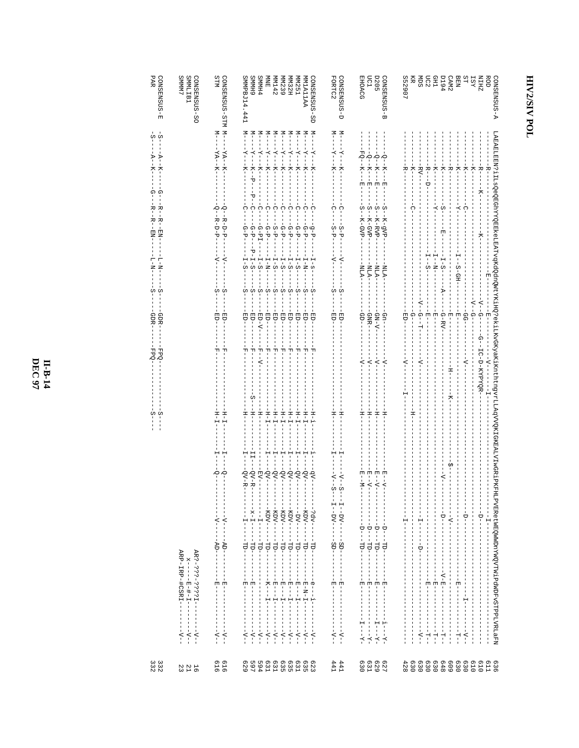| PAR<br>$CONSENSEUS - E$                                                                                               | CONSENSUS-SO<br><b>CMMMS</b><br>SMMLIB1                                                 | STIM<br>CONSENSUS-SIM M--                                                       | SMMPBJ14.441<br>6 HMMS                                                                                                                                           | <b>SMMH4</b>                                                  | NINE<br><b>MM142</b>                                                                                               | MM239<br><b>MM32H</b>                                                                                                                                                                                                                                                                                                                                                                                                                      | L <sub>5</sub> ZMM                                                | CONSENSUS-SD<br>MAILAIMM                                                                        | FORTC2<br>CONSENSUS-D                                                                                                                                                                                                                                                                                                                                                                                                                          | <b>D205</b><br><b>EHOACG</b><br>nc1                                                                                                                                               | CONSENSUS-B                 | S52907<br>Ř                                                                                                |                                                   | <b>BESE</b>                                                                                                                           | <b>P6Td</b>                                                                                                                                                                         | BEN<br>CAM2                                                                                                                                                                                                                                                                                                                                                                                                                                                                                         | SΤ<br><b>IST</b>                                                                                                                                       | <b>ZHIN</b><br><b>ROD</b><br>GONSENSUS-A                                                                                                  |
|-----------------------------------------------------------------------------------------------------------------------|-----------------------------------------------------------------------------------------|---------------------------------------------------------------------------------|------------------------------------------------------------------------------------------------------------------------------------------------------------------|---------------------------------------------------------------|--------------------------------------------------------------------------------------------------------------------|--------------------------------------------------------------------------------------------------------------------------------------------------------------------------------------------------------------------------------------------------------------------------------------------------------------------------------------------------------------------------------------------------------------------------------------------|-------------------------------------------------------------------|-------------------------------------------------------------------------------------------------|------------------------------------------------------------------------------------------------------------------------------------------------------------------------------------------------------------------------------------------------------------------------------------------------------------------------------------------------------------------------------------------------------------------------------------------------|-----------------------------------------------------------------------------------------------------------------------------------------------------------------------------------|-----------------------------|------------------------------------------------------------------------------------------------------------|---------------------------------------------------|---------------------------------------------------------------------------------------------------------------------------------------|-------------------------------------------------------------------------------------------------------------------------------------------------------------------------------------|-----------------------------------------------------------------------------------------------------------------------------------------------------------------------------------------------------------------------------------------------------------------------------------------------------------------------------------------------------------------------------------------------------------------------------------------------------------------------------------------------------|--------------------------------------------------------------------------------------------------------------------------------------------------------|-------------------------------------------------------------------------------------------------------------------------------------------|
| $\begin{array}{ccc} -2 & -1 & -1 \\ -2 & -1 & -1 \\ -1 & -1 & -1 \end{array}$<br>$-4$<br>$\mathbb{F}$<br>Κ-<br>Ω<br>Ω |                                                                                         | $N -$<br>$-XN -$<br>$-4A-$                                                      | $\geq -1$<br>$-1$<br>$-1 - 2 -$<br>$-K-$<br>$-5$<br>Κ-<br>۲Ö<br>t                                                                                                | $-1$<br>$-7 - -$<br>$\ddot{z}$                                | $-1$<br>$N -$<br>$-7 - 7 -$<br>$\frac{1}{4}$<br>$-1 - K -$<br>$\frac{1}{7}$                                        | $-1$<br>$M---Y---Y$<br>$-1 - 1 - 1 - 1 - 1$                                                                                                                                                                                                                                                                                                                                                                                                | $-1$<br>$\frac{1}{2}$<br>п                                        | $M$ ––– $X$ ––– $M$<br>$-1$                                                                     | $-1$<br>$-1$<br>$- -X - -$<br>$\mathsf I$<br>$-X---K-$                                                                                                                                                                                                                                                                                                                                                                                         | $FQ = -K -$<br>$-5 -$<br>$-2 - 5 -$<br>$\frac{1}{\vert \mathbf{z} \vert}$<br>国<br>固                                                                                               | $-Q$<br>$-K$<br>$-K$<br>$E$ | ᆽ                                                                                                          | $RV - -$                                          | -<br>H<br>- - - -<br>×<br>i                                                                                                           | ÷.<br>주                                                                                                                                                                             | $-7$<br>I<br>I                                                                                                                                                                                                                                                                                                                                                                                                                                                                                      | ΚĻ<br>ΚĻ                                                                                                                                               | 하<br>$-R$ –<br>$- - K - - -$                                                                                                              |
| - K-<br>ᄷ<br>$\frac{1}{1}$<br>R-<br>ᅒ<br>$-NE$<br>2<br>$\mathbf{N}-\mathbf{T}$<br>투<br>z                              |                                                                                         | Ю<br>$-2$<br>R-D-P<br>$R-D-P$<br>$\overline{\phantom{a}}$<br>$\overline{\zeta}$ | Ω<br>∩<br>ם-ם-<br>-<br>$-5 - -$<br>언<br>$-1 - S$<br>$\frac{1}{5}$                                                                                                | Ω<br>$-d-5-$<br>$\mathsf I$<br>Ţ<br>$\frac{1}{4}$<br>$-1 - S$ | Ω<br>Ω<br>$--S-FF$<br>$-d - D -$<br>$\frac{1}{1}$<br>$\frac{1}{1}$<br>$\mathbf{N}-\mathbf{N}$<br>$\frac{1}{2} - 5$ | C<br>Ω<br>$\mathsf I$<br>$- -d - d - -$<br>$-5 -5 -$<br>$\frac{1}{1}$<br>$\frac{1}{1}$<br>$I-S$<br>$1 - S$                                                                                                                                                                                                                                                                                                                                 | Ω<br>т<br>-1<br>$-5 -$<br>ł<br>$1 - S$<br>$I-N$ -                 | Ω<br>$-5-$<br>$\vec{q}$ – $\vec{p}$<br>$\frac{1}{2}$                                            | ∩<br>Ω<br>ł<br>$S - P$<br>$S - P -$<br>$-4-$<br>$\frac{1}{1}$                                                                                                                                                                                                                                                                                                                                                                                  | w<br>w<br>w<br>ł<br>K-GVP-<br>K-RVP<br>K-GVP                                                                                                                                      | S<br>Ť<br>K-gVP.            | ∩                                                                                                          |                                                   | т<br>$\overline{K}$<br>ł<br>$-5 - 3$<br>$-1 - N$                                                                                      | w<br>$\overline{\phantom{a}}$<br>ł<br>면<br>ŧ<br>$-5 - 5 - 1$                                                                                                                        | $-1 - 1 -$<br>$-1 - 1 - 8 - 6H - 7$                                                                                                                                                                                                                                                                                                                                                                                                                                                                 | ှ                                                                                                                                                      | LABAELBEN?iILsQeQBGhYYQEEKeLEATvqKdQdnQWtYKiHQ?ekiLKvGKyaKiKnthtngvrLLAqVVQKIGKEALVJwGRiPKFHIPVBRetWBQWWDnYWQVTWiPdW7FVIXLaFW<br>$-7 - 7$ |
| ດ ທ                                                                                                                   |                                                                                         | w<br>S                                                                          |                                                                                                                                                                  | ł<br>л.                                                       | ŧ                                                                                                                  | ł<br>Ť<br>J<br>$\omega$ $\omega$ $\omega$ $\omega$ $\omega$ $\omega$<br>$\frac{1}{1}$<br>ł                                                                                                                                                                                                                                                                                                                                                 | w                                                                 | w<br>C                                                                                          | w<br>S                                                                                                                                                                                                                                                                                                                                                                                                                                         | <b>LNLA</b><br>$-$ NLA $-$<br>$-$ NLA $-$                                                                                                                                         | $-NTM -$                    |                                                                                                            |                                                   |                                                                                                                                       | $-4-$                                                                                                                                                                               |                                                                                                                                                                                                                                                                                                                                                                                                                                                                                                     | $-\Delta - -G - -$                                                                                                                                     | 넊<br>$-2 - -6 - -$                                                                                                                        |
| GDR-<br>GDR<br>FPQ.<br>ŌЧ.                                                                                            |                                                                                         | ᅿ<br>피                                                                          | ヨワー<br>$-0.5$<br>면<br>흰                                                                                                                                          | ED-V-<br>÷<br>!                                               | $-EB$<br>ĖP-<br>÷<br>ا<br>T                                                                                        | $-1 - 2D - -$<br>$-EBD - -$<br>별<br>٠Ï                                                                                                                                                                                                                                                                                                                                                                                                     | $-5D-$<br>ED-<br>피                                                | ED-<br>면<br>피                                                                                   | 巴<br>F<br>ED-                                                                                                                                                                                                                                                                                                                                                                                                                                  | $\frac{1}{2}$<br>$-GM - N - -$<br>$GNR -$                                                                                                                                         | $-10$                       | 団<br>ם<br> <br> <br>Ļ                                                                                      | $-2 - 5 - - 5 - 1$                                | 団<br>団<br>$\frac{1}{2}$<br>п                                                                                                          | $- - -$ C $-$ KV $-$<br>$-1 - -1 -$                                                                                                                                                 | $-1$ = $-1$                                                                                                                                                                                                                                                                                                                                                                                                                                                                                         | $-99-$                                                                                                                                                 | 님<br>-<br>1                                                                                                                               |
|                                                                                                                       |                                                                                         |                                                                                 | C<br>$\frac{1}{24}$                                                                                                                                              | $\overline{\mathrm{A}}$ –                                     |                                                                                                                    |                                                                                                                                                                                                                                                                                                                                                                                                                                            |                                                                   |                                                                                                 |                                                                                                                                                                                                                                                                                                                                                                                                                                                | $- -\Lambda - -$<br>$-1$<br>$-1$                                                                                                                                                  | $- -\Lambda - -$            | $\overline{\zeta}$                                                                                         | $\overline{A}$                                    |                                                                                                                                       | $\frac{1}{1}$<br>H-<br>—<br>T                                                                                                                                                       |                                                                                                                                                                                                                                                                                                                                                                                                                                                                                                     | $-4-$                                                                                                                                                  | -c--rc-b-kxzxdx----<br>$-1$                                                                                                               |
| w<br>C                                                                                                                |                                                                                         | $H - T$<br>Η<br>부                                                               | Ξ<br>Ţ<br>FI-                                                                                                                                                    | $\frac{1}{1}$<br>ł                                            | $-L-H$ -<br>$L-H$<br>Ť<br>$\frac{1}{1}$                                                                            | $-H - I -$<br>$-1 - 1 - H -$                                                                                                                                                                                                                                                                                                                                                                                                               | $-1$                                                              | $H - T -$<br>$F - H$<br>$-1$                                                                    | Ξ<br>Ŧ                                                                                                                                                                                                                                                                                                                                                                                                                                         | Ξ<br>Ξ<br>ᄑ                                                                                                                                                                       | H                           |                                                                                                            |                                                   |                                                                                                                                       |                                                                                                                                                                                     |                                                                                                                                                                                                                                                                                                                                                                                                                                                                                                     |                                                                                                                                                        |                                                                                                                                           |
|                                                                                                                       |                                                                                         | οŏ                                                                              | $-QV - R - -$<br>$QV - R -$<br>I                                                                                                                                 | $-0V$ -<br>$-KV - -$                                          | $-2V - - - -$                                                                                                      | $-2V - - - -$<br>$-2V - - - -$                                                                                                                                                                                                                                                                                                                                                                                                             | $-0V$<br>$-NQ$                                                    | $-\Delta b$<br>$\frac{1}{1}$                                                                    | $-\Lambda$ --S<br>$-\Lambda--S$                                                                                                                                                                                                                                                                                                                                                                                                                | <b>E-N--N-</b><br>団<br>$E - V - -$<br>$-4-1$<br>$\frac{1}{1}$                                                                                                                     | $E - -V - -$                |                                                                                                            |                                                   |                                                                                                                                       | $-2$                                                                                                                                                                                |                                                                                                                                                                                                                                                                                                                                                                                                                                                                                                     |                                                                                                                                                        |                                                                                                                                           |
|                                                                                                                       |                                                                                         | I<br>-- 4------------<br>$\overline{1}$<br>$-\Delta$ -<br>$\blacksquare$        | $-1 - x - 1 - - - -1$<br>Ť<br>÷<br>!                                                                                                                             | $-1 - 1 - 1 -$<br>$\frac{1}{1}$                               | $-2DN$                                                                                                             |                                                                                                                                                                                                                                                                                                                                                                                                                                            |                                                                   | - - - - - KDV - - - - - TD - - - -<br>$---P54$                                                  | $-1 - 2Q - 1 - 1$                                                                                                                                                                                                                                                                                                                                                                                                                              | $\frac{1}{1}$<br>-1<br>$\mathsf I$<br>$-1$<br>$-1$                                                                                                                                | $\frac{1}{4}$<br>$-1 - 0 -$ | $\frac{1}{1}$<br>$\frac{1}{1}$<br>$\frac{1}{1}$<br>Ť                                                       | $\frac{1}{1}$<br>Ť<br>т                           | $\frac{1}{1}$<br>$\frac{1}{1}$<br>$\begin{array}{c} 1 \\ 1 \\ 1 \\ 1 \end{array}$<br>$\mathbf{I}$<br>$\mathsf I$<br>$\frac{1}{1}$     | $- - - - - - - - - -$<br>$-1 - 1 -$<br>I<br>ŧ<br>$\mathsf I$<br>L                                                                                                                   | $\begin{array}{c} \n 1 \\  1 \\  1\n \end{array}$<br>$\begin{array}{c} \rule{0pt}{2ex} \rule{0pt}{2ex} \rule{0pt}{2ex} \rule{0pt}{2ex} \rule{0pt}{2ex} \rule{0pt}{2ex} \rule{0pt}{2ex} \rule{0pt}{2ex} \rule{0pt}{2ex} \rule{0pt}{2ex} \rule{0pt}{2ex} \rule{0pt}{2ex} \rule{0pt}{2ex} \rule{0pt}{2ex} \rule{0pt}{2ex} \rule{0pt}{2ex} \rule{0pt}{2ex} \rule{0pt}{2ex} \rule{0pt}{2ex} \rule{0pt}{2ex} \rule{0pt}{2ex} \rule{0pt}{2ex} \rule{0pt}{2ex} \rule{0pt}{$<br>$\frac{1}{1}$<br>$\mathsf I$ | $-1 - 1 - 1$<br>$\begin{bmatrix} 1 & 1 \\ 1 & 1 \\ 1 & 1 \end{bmatrix}$<br>I<br>÷<br>$\frac{1}{1}$<br>$\frac{1}{1}$<br>$\mathsf I$<br>ı<br>$\mathsf I$ | $-1$ $-1$ $-1$ $-1$ $-1$ $-1$ $-1$ $-1$<br>$-1$ $-1$ $-1$ $-1$<br>$\mathbf{I}$                                                            |
|                                                                                                                       | ARP-IRP-#CSRI-----<br>AR?-???-???I--                                                    | $AD -$<br>$\frac{1}{1}$<br>i<br>I<br>변 년<br>   <br>                             | J.<br>$\overline{\phantom{a}}$<br>J<br>J.<br>H<br>$\blacksquare$<br>は<br>- - -<br>- -                                                                            | $-11D -$<br>ı<br>I.<br>т<br>л.<br>$\mathbf{I}$<br>л.<br>л.    | $\blacksquare$<br>$-1 - 2$                                                                                         | $\begin{aligned} &\frac{1}{1}--2\mathbb{E}\left[-\frac{1}{1}+\frac{1}{2}+\frac{1}{2}+\cdots+\frac{1}{2}\right] \\ &\frac{1}{1}--2\mathbb{E}\left[-\frac{1}{1}+\frac{1}{2}+\cdots+\frac{1}{2}\right] \\ &\frac{1}{1}--2\mathbb{E}\left[-\frac{1}{1}+\cdots+\frac{1}{2}\right] \\ &\frac{1}{1}--2\mathbb{E}\left[-\frac{1}{1}+\cdots+\frac{1}{2}\right] \\ &\frac{1}{1}--2\mathbb{E}\left[-\frac{1}{1}+\cdots+\frac{1}{2}\right] \\ &\frac{$ |                                                                   | $-10-$<br>$\mathbf{I}$<br>J<br>$\frac{1}{1}$<br>I<br>$\overline{\phantom{a}}$<br>$-\frac{1}{2}$ | $-2D$ -<br>$\frac{1}{1}$<br>$\mathsf I$<br>$\frac{1}{1} - \frac{1}{1} = \frac{1}{1} - \frac{1}{1} = \frac{1}{1} - \frac{1}{1} = \frac{1}{1} - \frac{1}{1} = \frac{1}{1} - \frac{1}{1} = \frac{1}{1} - \frac{1}{1} = \frac{1}{1} - \frac{1}{1} = \frac{1}{1} - \frac{1}{1} = \frac{1}{1} - \frac{1}{1} = \frac{1}{1} - \frac{1}{1} = \frac{1}{1} - \frac{1}{1} = \frac{1}{1} - \frac{1}{1} = \frac{1}{1} - \frac{1}{1} = \frac{1}{1} - \frac{1$ | $-11D -$<br>$-110 - 1$<br>$\mathsf I$<br>J.                                                                                                                                       | $-11D -$<br>Ì               | $\frac{1}{1}$<br>$\frac{1}{2}$<br>$\mathbf{I}$<br>J.<br>$\mathsf I$<br>$\frac{1}{1}$<br>$\frac{1}{2}$<br>п | $-1$<br>т<br>Ţ.<br>$\frac{1}{1}$<br>$\frac{1}{1}$ | $\begin{bmatrix} 1 \\ 1 \\ 1 \\ 1 \end{bmatrix}$<br>$\frac{1}{1}$<br>т<br>т<br>$\overline{\phantom{a}}$<br>$\frac{1}{1}$<br>- H - - - | $\frac{1}{1}$<br>$\frac{1}{1}$<br>$\begin{array}{c} \rule{0.2cm}{0.15mm} \end{array}$<br>T<br>$- - - - - - - - - - - - -$<br>$\begin{array}{c} \n 1 \\  1 \\  1\n \end{array}$<br>1 |                                                                                                                                                                                                                                                                                                                                                                                                                                                                                                     | $\frac{1}{1}$<br>$\frac{1}{1}$<br>Ì<br>$\frac{1}{1}$<br>I<br>Ţ<br>$\frac{1}{4}$<br>$\frac{1}{1}$<br>ţ<br>ţ<br>I<br>п                                   | $\frac{1}{1}$<br>ţ<br>$\frac{1}{1}$<br>$\begin{array}{c} 1 \\ 1 \\ 1 \\ 1 \end{array}$                                                    |
|                                                                                                                       | $\overline{\phantom{a}}$<br>$- - - - - - - - -$<br>$\mathsf I$<br>$\mathsf I$<br>$-4-1$ | 1<br>Ţ<br>ł<br>$\blacksquare$<br>$\mathbf{I}$<br>$-4 - 4 -$                     | J.<br>I<br>$\begin{array}{c} \hline \end{array}$<br>$\blacksquare$<br>$\blacksquare$<br>$\blacksquare$<br>$\,$ I<br>$- - - - - - - - - - -$<br>$- - - - - - - -$ | I.<br>л.<br>п<br>т<br>$- - - - - - - -$                       | $1 - -1 -$<br>Ť<br>$\frac{1}{1}$<br>$- -\Lambda - -$                                                               | Ť<br>$1 - 1 - 1 - 1 - 1 - 1$<br>$- - - - - - - -$                                                                                                                                                                                                                                                                                                                                                                                          | $\frac{1}{2}$<br>$\frac{1}{1}$<br>$\mathsf I$<br>Ţ.<br>$-4 - 1 -$ | $\mathbf{1}$<br>Ť<br>$\mathsf I$<br>I<br>I<br>$- - - - - - - -$                                 | $\mathsf I$<br>1<br>$\begin{bmatrix} 1 \\ 1 \\ 1 \\ 1 \end{bmatrix}$<br>1<br>-<br>Ť<br>$- - - - - - - - -$                                                                                                                                                                                                                                                                                                                                     | $\mathsf I$<br>I.<br>ţ<br>$\mathsf I$<br>Ţ<br>$\mathsf I$<br>$\mathbf{I}$<br>$\mathbf{I}$<br>Ť<br>$\mathbb{I}$<br>$\mathsf I$<br>$\mathsf I$<br>$-1 - - - - - - -$<br>$-7 - -7 -$ | J.<br>J<br>J.               | j<br>$\mathsf I$<br>$\mathbf{I}$<br>Ť<br>$\,$ I<br>$\begin{bmatrix} 1 \\ 1 \\ 1 \\ 1 \\ 1 \end{bmatrix}$   | т<br>п<br>1<br>$- - - - - - - - -$                | $\frac{1}{1}$<br>$\overline{\phantom{a}}$<br>- I<br>$\blacksquare$<br>$\overline{\phantom{a}}$<br>$-1$ $-1$ $-1$ $-1$ $-1$            | $\frac{1}{1}$<br>L<br>$\begin{array}{c} 1 \\ 1 \\ 1 \end{array}$<br>Ţ.<br>т<br>Ť.<br>T,<br>$\,$ I<br>T,<br>$-1 - 1 -$                                                               | $-1$ $-1$ $-1$ $-1$ $-1$                                                                                                                                                                                                                                                                                                                                                                                                                                                                            | $\frac{1}{1}$<br>ţ<br>$    \mathsf{I}$<br>$\frac{1}{1}$<br>1<br>$- - - - - - - - - -$<br>$-1$ $-1$ $-1$ $-1$ $-1$                                      | $\begin{array}{c} \n 1 \\  1 \\  1\n \end{array}$<br>$\begin{array}{c} 1 \\ 1 \\ 1 \end{array}$<br>I                                      |
| 3 3 2<br>2 3 2                                                                                                        | $\begin{array}{c} 1 & 0 \\ 0 & 1 \\ 0 & 1 \end{array}$                                  | 616<br>919                                                                      | 597<br>629                                                                                                                                                       | 594                                                           | E31                                                                                                                | 630<br>630<br>69                                                                                                                                                                                                                                                                                                                                                                                                                           | E <sub>31</sub>                                                   | 6235                                                                                            | $441$<br>$441$                                                                                                                                                                                                                                                                                                                                                                                                                                 |                                                                                                                                                                                   |                             | 428                                                                                                        | 630<br>000<br>000                                 | 630                                                                                                                                   | 848<br>609                                                                                                                                                                          | 630                                                                                                                                                                                                                                                                                                                                                                                                                                                                                                 | 630<br>019                                                                                                                                             | 019<br>636<br>611                                                                                                                         |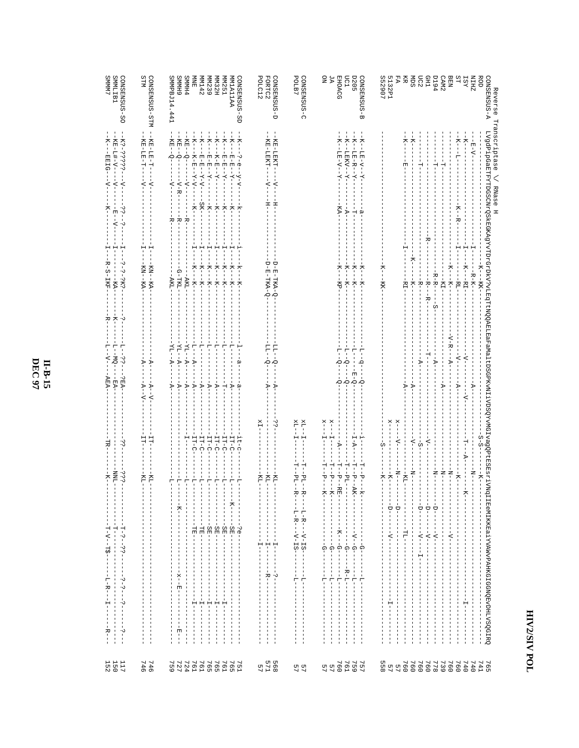| <b>ZHIN</b><br>ROD<br><b>IST</b>         | - H - V -                                                                                                      | 휴<br>부<br>ኛ<br>-R-K-<br>$-RT$<br>$-KK$ -           | ₹<br>$\overline{A}$                                                          | S-S<br>闩                               | -<br>-<br>-                                                                                                                  | $\blacksquare$<br>$\mathbf{I}$                                                                                                                                             | н<br>$\mathbf{I}$<br>п                                                                                                                                                                                                    |
|------------------------------------------|----------------------------------------------------------------------------------------------------------------|----------------------------------------------------|------------------------------------------------------------------------------|----------------------------------------|------------------------------------------------------------------------------------------------------------------------------|----------------------------------------------------------------------------------------------------------------------------------------------------------------------------|---------------------------------------------------------------------------------------------------------------------------------------------------------------------------------------------------------------------------|
| SΤ                                       | $-1$<br>5<br>ż<br>L<br>겨                                                                                       | $-1-$<br>$-RT$ -                                   | $-4-$<br>$-V -$                                                              |                                        | $-5 - 7$                                                                                                                     | $\mathbb I$<br>$\frac{1}{1}$                                                                                                                                               |                                                                                                                                                                                                                           |
| <b>BEN</b>                               |                                                                                                                | K---K--                                            | ヘードー<br>$-4-$                                                                |                                        | $-1$                                                                                                                         | J<br>J<br>$-4-$<br>I<br>ı<br>ı                                                                                                                                             |                                                                                                                                                                                                                           |
| <b>194</b><br>CAM <sub>2</sub>           | 님<br>부                                                                                                         | $R - R -$<br>$-KI -$<br>n<br>I                     | $-\Delta -$                                                                  |                                        | $-1$ N <sup>-</sup><br>$-7$<br>$\frac{1}{\sqrt{2}}$<br>$\blacksquare$<br>$\begin{array}{c} \rule{0.2cm}{0.15mm} \end{array}$ | I<br>$-4-1$<br>$\blacksquare$<br>Ť<br>$\frac{1}{1}$                                                                                                                        | п<br>1                                                                                                                                                                                                                    |
| <b>CHI</b>                               |                                                                                                                | ÷<br>⊤<br>$-K-$<br>- K-                            | ۲<br>ا                                                                       | $\overline{z}$                         | $\frac{1}{\sqrt{2}}$                                                                                                         | $-1 - 1 -$                                                                                                                                                                 |                                                                                                                                                                                                                           |
| SШ<br>DC2                                | 부                                                                                                              | $\overline{X}$<br>$-8 - 1$                         | $-V -$                                                                       | $-4-$<br>$\frac{1}{\Omega}$            | $-1$<br>Ţ<br>$\frac{1}{\sqrt{2}}$<br>$\mathbf{I}$                                                                            | I<br>I<br>$- -\Lambda - -$<br>т<br>-1<br>$\mathbf{I}$<br>ŧ<br>Ţ<br>T<br>т                                                                                                  | п<br>I<br>п<br>I<br>I<br>п<br>п<br>т<br>ı<br>I<br>I<br>п                                                                                                                                                                  |
| Ř                                        | $\frac{1}{2}$<br>団                                                                                             | $-HI-$                                             | $\mathbb{F}$                                                                 |                                        | $--K1-$<br>$\mathbf{I}$                                                                                                      | $-11$                                                                                                                                                                      |                                                                                                                                                                                                                           |
| FA                                       |                                                                                                                |                                                    |                                                                              | $x$ ---- $\nabla$ ---                  | $-7$<br>$\frac{1}{2}$                                                                                                        | ı<br>1<br>$\frac{1}{1}$<br>$\mathbf{I}$<br>$\mathbf{I}$<br>п<br>п                                                                                                          | I<br>п<br>1<br>п<br>п<br>$\mathbf{I}$<br>I<br>п                                                                                                                                                                           |
| 5132 <sub>907</sub>                      |                                                                                                                | 주<br>-KK                                           |                                                                              | $\frac{1}{2}$<br>S                     | $-K$<br>–<br>K-–<br>Л.<br>P                                                                                                  | $\begin{array}{c} \hline \end{array}$<br>п<br>$-4 - -$<br>T<br>J.<br>$\mathbf{I}$<br>$\mathbf{I}$<br>$\mathbf{I}$<br>п<br>$\mathbf{I}$                                     | ÷<br>п<br>$\mathbf{I}$<br>п<br>т<br>т<br>ш<br>т                                                                                                                                                                           |
| CONSENSUS-<br>ω                          | - K - - L'E - V - -<br>$\overline{1}$<br>نو                                                                    | $K--$<br>$-1/2$                                    | ę<br>ف<br>ا                                                                  |                                        | İ<br>$-1 - K -$                                                                                                              | $\overline{\phantom{a}}$<br>п<br>п                                                                                                                                         | $\overline{\phantom{a}}$<br>부<br>п<br>п                                                                                                                                                                                   |
| mc1<br><b>D205</b>                       | $-K$ – $-K$ – $-K$ – $K$ – $K$ –<br>$-K--TERN--X-$<br>÷<br>$-4-$                                               | 주<br>ĸ-<br>$-K-$<br>노<br>자                         | ŕ<br>Ŷ<br>$\sum_{i=1}^{n}$<br>Ť<br>$-5 - 7$<br>$\sigma$                      | $I - A$                                | ۳i<br>Ť<br>$-14$<br>$P - ARK -$<br>$\frac{1}{1}$<br>Ť.<br>$\mathsf I$                                                        | $\mathsf I$<br>J.<br>ŧ<br>$\mathsf I$<br>$\mathsf I$<br>T<br>J.<br>$\mathbf{I}$<br>п                                                                                       | $-1 - \underline{T} - -$<br>$-B-L$ -<br>$\mathsf I$<br>п<br>$\mathbf{I}$<br>$\mathbf{I}$<br>п<br>п<br>$\mathbf I$<br>J.<br>J.<br>J.<br>Ţ<br>$\mathbf{I}$<br>п<br>Ť.<br>ı<br>$\,$ I<br>Ť<br>п                              |
| <b>EHOACG</b>                            | $\frac{1}{2}$<br>$-LE-V--$<br>Ÿ<br>KA-                                                                         | ጘ<br>-kp-                                          | 부<br>ή<br>ò.                                                                 | ⊅                                      | Ť<br>ワートカロ                                                                                                                   | $-7 - 7$<br>$\begin{array}{cccc} - & - & - \\ - & - & - \\ - & - & - \end{array}$                                                                                          | $\mathsf I$<br>루                                                                                                                                                                                                          |
| ΆĀ                                       |                                                                                                                |                                                    |                                                                              | $x = -1$<br>$\frac{1}{1}$              | ۳<br> <br>ŗ<br>$- - K$ .<br>п<br>п<br>$\overline{\phantom{a}}$                                                               | $\,$ I<br>$\begin{array}{c} \hline \end{array}$<br>Ť<br>$\,$ I<br>$\overline{\phantom{a}}$<br>$\begin{matrix} 1 & 1 \\ 0 & 1 \\ 1 & 1 \end{matrix}$<br>п<br>$\blacksquare$ | $-1$ – $-1$<br>$\mathbf{I}$<br>$\blacksquare$<br>п<br>ш<br>п<br>J.<br>п<br>J,<br>I<br>I<br>п                                                                                                                              |
| g                                        |                                                                                                                |                                                    |                                                                              | $x$ --<br>H<br>T                       | 부<br>۳Ì<br>ķ                                                                                                                 | т.<br>Ť<br>T<br>1<br>Ť                                                                                                                                                     | 부                                                                                                                                                                                                                         |
| POLB7<br>CONSENSUS-C                     |                                                                                                                |                                                    |                                                                              | $-1$ $\times$<br>×I-<br>부              | $PLI - R$<br>$PL--R$                                                                                                         | $-1 - 1 - R - -V - IS -$<br>$-\mathbf{L}-\mathbf{R}--\mathbf{V}-\mathbf{I}\, \mathbf{S} \cdot$<br>$\mathbf{I}$                                                             | $\frac{1}{1}$<br>루<br>п<br>I                                                                                                                                                                                              |
|                                          |                                                                                                                |                                                    |                                                                              |                                        |                                                                                                                              | $\overline{\phantom{a}}$<br>$\mathbf{I}$<br>$\frac{1}{1}$                                                                                                                  | J.<br>J.<br>I<br>п<br>1<br>$\mathbf{I}$<br>п<br>п                                                                                                                                                                         |
| GONSENSUS-D                              | - KE-LEKH-<br>$-\Delta$ -<br>볶                                                                                 | O-RA-HYA-O                                         | Ę<br>$\sum_{i=1}^{n}$<br>ъ                                                   | $\ddot{\cdot}$                         | Ĕ                                                                                                                            | п<br>$\begin{array}{c} \mathbf{H} \\ \mathbf{I} \\ \mathbf{I} \end{array}$<br>п                                                                                            | T<br>٠.<br>I                                                                                                                                                                                                              |
| <b>FORTC2</b><br>POLC12                  | - K K - L K K -<br>$-\Delta$ -<br>$\frac{1}{1}$                                                                | $Q - E - I - E - O$                                | FT-<br>÷<br>Þ                                                                | X                                      | KL,<br>$\mathbf{I}$                                                                                                          | $\mathbf{I}$<br>$\mathbb T$<br>н<br>п<br>$\mathbf{I}$                                                                                                                      | ÷<br>⊦<br>$\mathbf{I}$                                                                                                                                                                                                    |
|                                          |                                                                                                                |                                                    |                                                                              |                                        | Ř                                                                                                                            | ш<br>п<br>$\blacksquare$<br>f,<br>п<br>п                                                                                                                                   |                                                                                                                                                                                                                           |
| CONSENSUS-SD<br>AAILAIMW                 | $\frac{1}{2}$<br>トベー<br>$\frac{1}{2}$<br>$\frac{1}{9}$<br>$-1 - X - -$<br>$-\lambda - \lambda -$<br>$-K-$<br>÷ | Ĥ<br>$-1 - K - -K -$<br>ሻ<br>-<br>주                | $-1$<br>÷<br>ام<br>م<br>$\overline{r}$<br>ρ                                  | $-11-0$<br>$\frac{1}{2}$ $\frac{1}{2}$ | 루<br>÷<br>$- -K - -$                                                                                                         | $\mathbf{I}$<br>$\overline{B}$<br>$\mathbf{I}$<br>٠.<br>$\sigma$<br>$\mathbf I$                                                                                            | $\mathbf{I}$<br>$\mathbf{I}$<br>$\mathbf{I}$<br>J,<br>$\mathbf{I}$<br>$\mathbf{I}$                                                                                                                                        |
| <b>MM251</b>                             | 四日<br>$-\lambda$ --<br>$\frac{1}{7}$                                                                           | H<br>주<br>$\frac{1}{7}$                            | 투<br>부                                                                       | IT-C                                   | 부                                                                                                                            | ĠB                                                                                                                                                                         | I<br>Н                                                                                                                                                                                                                    |
| HZ <sub>EMN</sub>                        | $\frac{1}{\lambda}$<br>$K-E$<br>$- -X - -$<br>$\frac{1}{1}$                                                    | 부<br>Ť<br>ż-<br>$-1 - K -$                         | 루<br>$\mathbb{Y}$                                                            | $-11 - C$                              | 루<br>$\mathbf{I}$                                                                                                            | $\blacksquare$<br>ĞЕ<br>$\mathsf I$<br>J.<br>$\mathbf{I}$<br>ш<br>п                                                                                                        | -1<br>휴<br>п<br>$\blacksquare$<br>п<br>-1<br>п<br>$\mathbf{I}$                                                                                                                                                            |
| <b>MM239</b>                             | $\overline{X}$<br>$-E-E=-Y---E--E--$<br>$-K$ -                                                                 | 휴<br>$-1X - 1X -$                                  | $\frac{1}{1}$<br>$-4-$                                                       | $-11 - C$                              | 루<br>п<br>т                                                                                                                  | I<br>L.<br>-SE-<br>T<br>T<br>т.<br>T<br>п<br>п                                                                                                                             | т<br>т<br>п<br>т<br>부<br>T<br>T<br>т<br>т<br>I<br>I<br>л.                                                                                                                                                                 |
| MIN142                                   | $\frac{1}{2}$<br>$\frac{1}{2}$<br>$-X-\Lambda$ -<br>$-SK-$                                                     | H<br>خ<br>$\frac{1}{2}$                            | 루<br>$-4-$                                                                   | 11-C                                   | 부                                                                                                                            | 늲<br>L                                                                                                                                                                     | Ĥ<br>T<br>$\mathsf I$                                                                                                                                                                                                     |
| <b>PHMMS</b><br>自动                       | $\overline{X}$<br>$  K$ $ K$ $ K$ $ K$ $ K$ $ K$<br>$-4$<br>$-K$ – $-$<br>+B-                                  | $K--K--K$<br>$-AKL$ -                              | $-1$ $-1$ $-1$ $-1$<br>$-XI - -A -$<br>$-\frac{1}{2}$<br>$\overline{Y}$      | IT-C                                   | 루<br>루<br>п<br>т.<br>л.<br>I.                                                                                                | п<br>$\mathbf{I}$<br>늲<br>$\mathbf{I}$<br>$\mathbf{L}$<br>т.<br>л.<br>I.<br>т.<br>т.                                                                                       | п<br>п<br>п.<br>$\mathbf{I}$<br>п<br>п<br>$\mathbf{I}$<br>н<br>п<br>п<br>$\mathbf{I}$<br>п<br>п<br>т.                                                                                                                     |
|                                          | $-KE - -Q - -$                                                                                                 |                                                    |                                                                              |                                        | п                                                                                                                            | п                                                                                                                                                                          | п<br>п<br>п<br>J,                                                                                                                                                                                                         |
| SMMPBJ14.441<br>6 HMMS                   | $-KE - C -$<br>-<br>NH<br>$-5 - 0 - 1$<br>-- N-R-<br>$-\Delta$ -<br>$-\mathbf{R}$<br>전                         | -G-TKL<br>AKL-                                     | $-\Delta\mathbf{T} - \mathbf{A} -$<br>$-TI$ – $H$<br>$-4-$<br>$\overline{P}$ |                                        | 루<br>è<br>$-K-$<br>$\mathbf{I}$                                                                                              | J<br>ı<br>$\frac{1}{4}$<br>J<br>-1<br>-1<br>-1<br>$\mathbb I$<br>$\begin{array}{c} \hline \end{array}$<br>$\blacksquare$<br>п                                              | $-3X -$<br>因<br>$\mathsf I$<br>$\frac{1}{1}$<br>п<br>J.<br>ı<br>$ \frac{1}{2}$ $ \frac{1}{2}$ $ \frac{1}{2}$ $-$                                                                                                          |
| CONSENSUS-STM                            | - K E - L E - T -<br>$-1 - 1$                                                                                  | 부<br>KN--KA-                                       | ÷<br>P                                                                       | 叧                                      | ĸŗ.                                                                                                                          |                                                                                                                                                                            | J.<br>$\overline{1}$<br>J.                                                                                                                                                                                                |
| STM                                      | - K H - L H - H<br>$-1$                                                                                        | H<br>-<br>NN--<br>NN-                              | $-4-$<br>$-\mathbf{A} - -\mathbf{V}$                                         | 늡                                      | Ė<br>п                                                                                                                       | Τ.<br>L.<br>1<br>1<br>-<br>Ť.<br>1<br>$\mathbf{I}$<br>$\mathbf{I}$<br>I.                                                                                                   | T<br>п<br>-<br>I.<br>I.<br>т<br>1<br>т<br>л.<br>Ţ<br>T<br>л.<br>л.                                                                                                                                                        |
|                                          |                                                                                                                |                                                    |                                                                              |                                        |                                                                                                                              |                                                                                                                                                                            |                                                                                                                                                                                                                           |
| SMMLIB1<br>CONSENSUS-<br>SO <sub>.</sub> | $-235555 - 575$<br>-RE-L#+V-<br>$-\Delta$ -<br>$-\Delta$ -<br>ن.<br>-<br>법<br>$-\Delta$ -<br>٠,                | н<br>$\mathsf{H}$<br>٦,<br>٠.<br>$-5 - 2K$<br>-RA- | 주<br>투<br>$\frac{1}{2}$<br>$-MO$<br>$\frac{1}{2}$<br>$-VEK$<br>ĖÄ            | ٠v                                     | $\frac{3}{5}$<br><b>NNL</b><br>п<br>$\blacksquare$<br>п<br>J.                                                                | J<br>$\frac{1}{1}$<br>$\mathbf{I}$<br>Ė<br>$-\frac{1}{2}$<br>٠v<br>٠.,<br>$\mathbf I$<br>$\mathbf{I}$<br>$\overline{1}$<br>ш<br>$\overline{\phantom{a}}$                   | ن.<br>٠.,<br>$\mathbf I$<br>$\mathsf I$<br>$\overline{\phantom{a}}$<br>٠.<br>$\mathbf I$<br>$\overline{\phantom{a}}$<br>I<br>I<br>$\overline{1}$<br>$\mathbf{I}$<br>$\overline{\phantom{a}}$<br>J,<br>$\frac{1}{2}$<br>J. |
|                                          |                                                                                                                | 부<br>$R-S-12F$                                     | ਲ਼<br>투<br>₹<br><b>AEA-</b>                                                  | 忌                                      | ネー                                                                                                                           | - コーマー - コのー -<br>$\mathbf{I}$<br>-                                                                                                                                        | Ť<br>$-L - R -$<br>$\frac{1}{1}$<br>т<br>T<br>т<br>– R−<br>I.                                                                                                                                                             |

**II-B-15**<br>DEC 97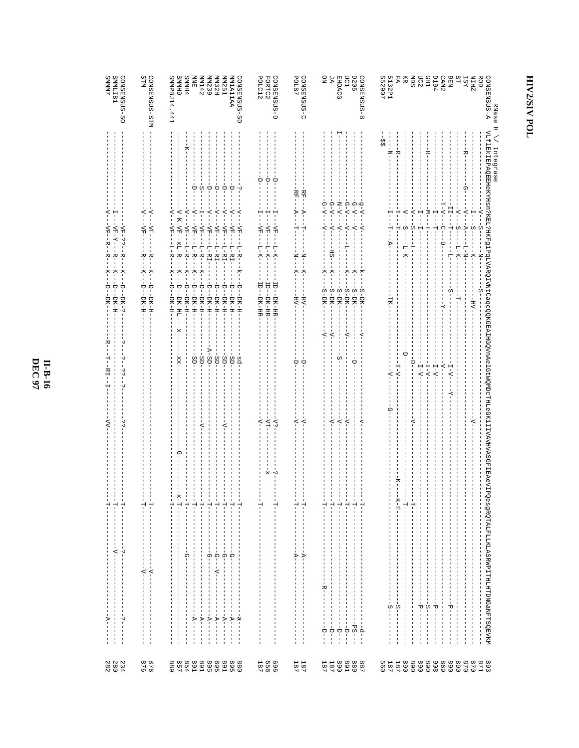#### **II-B-16**<br>DEC 97

| CONSENSUS-SO<br>SMMLIB1<br>SMMN <sub>7</sub>                                                                                                                                                                                                          | STM<br>CONSENSUS-STM                                                                                                                                                                                           | SMMPBJ14.441<br>6 HMMS<br><b>SMMH4</b><br>CONSENSUS-SD<br><b>MM142</b><br>MN239<br>MN32H<br><b>MM251</b><br>AAILAIMW<br>白<br>医                                                                                                                                                                                                                                                                                                                                                                                                                                                                                                                                                                                                                                                                    | POLC12<br>GONSENSUS-D<br>FORTC2                                                                                                                                                       | CONSENSUS-C<br>POLB7                                                                                                                | ЯČ<br><b>EHOACG</b><br>LC1<br>g<br><b>D205</b><br>GONSENSUS-B                                                                                                                                                                                                                                                                                 | 5132P1<br>S52907<br>FA<br><b>CHD</b><br>CAM2<br>D194<br><b>BEN</b><br>SΤ<br><b>ZHIN</b><br>ROD<br>GONSENSUS-A<br>Ř<br>Я<br>520<br><b>IST</b><br>RNase                                                                                                                                                                                                                                                                                                                                                                                         |
|-------------------------------------------------------------------------------------------------------------------------------------------------------------------------------------------------------------------------------------------------------|----------------------------------------------------------------------------------------------------------------------------------------------------------------------------------------------------------------|---------------------------------------------------------------------------------------------------------------------------------------------------------------------------------------------------------------------------------------------------------------------------------------------------------------------------------------------------------------------------------------------------------------------------------------------------------------------------------------------------------------------------------------------------------------------------------------------------------------------------------------------------------------------------------------------------------------------------------------------------------------------------------------------------|---------------------------------------------------------------------------------------------------------------------------------------------------------------------------------------|-------------------------------------------------------------------------------------------------------------------------------------|-----------------------------------------------------------------------------------------------------------------------------------------------------------------------------------------------------------------------------------------------------------------------------------------------------------------------------------------------|-----------------------------------------------------------------------------------------------------------------------------------------------------------------------------------------------------------------------------------------------------------------------------------------------------------------------------------------------------------------------------------------------------------------------------------------------------------------------------------------------------------------------------------------------|
| ₹<br><b>NH-23--R-</b><br><b>マエー マー</b><br>₩<br>$\frac{1}{2}$<br>$-7$<br>₹,<br>$\frac{1}{\sqrt{2}}$<br>$-D$ – $-DK$ – $5$<br>Ģ<br>$-$ DK $-$ H<br>DK-<br>ن.<br>ا<br>RI<br>$\ddot{\ddot{\delta}}$<br>$\mathbf{I}$<br>۰J<br>ن.<br>ن<br>ξ                 | $\overline{\phantom{a}}$<br>₹<br>$-KF-$<br>$-\Delta \mathbf{H}$<br>÷<br>⊦<br>¤⊤<br>$-5$<br>$\frac{1}{\lambda}$<br>$-1$<br>$-1$<br>$-1$<br>$-1$<br>$-1$<br>$-1$<br>$-1$<br>$-1$<br>$-1$<br>$-1$<br>$-1$<br>$-1$ | w<br>Á<br>Δ<br>À<br>Α<br>à<br>$-2$<br>$-\Delta$ -<br>÷<br>-4<br>$\overline{z}$<br>$-5 - K - N + - N$<br>$\frac{1}{1}$<br>ż.<br>$-4\Delta$<br>$-\Delta H -$<br>$-\Delta H -$<br>$-\Delta H -$<br>$-\Delta H -$<br>$-\Delta H -$<br>$-\Delta H$<br>$-\Delta E -$<br>Ş<br>$-1 - F - F - -$<br>$xL - R -$<br>$-1-$ R $-$<br>$-L - R -$<br>$-L-R-$<br>$-L-EI-$<br>$-L - H1 -$<br>$-1 - H1 -$<br>$-L-HI$<br>$L - R -$<br>$-1 - K -$<br>$-1 - K -$<br>$\frac{1}{\lambda}$<br>– k – – – D – – D K – H –<br>☆<br>$\frac{1}{\lambda}$<br>$\frac{1}{\sqrt{}}$<br>$\frac{1}{\sqrt{2}}$<br>$\frac{1}{\sqrt{2}}$<br>ŧ<br>÷<br>Ļ<br>ė<br>÷<br>à<br>$-DK-H$<br>$-BT-H$<br>$-DF - H - H -$<br>$-DR-H$<br>$-BT-H$<br>$-DT-H$<br>$-DT-H$<br>-DK-HI<br>DK-H-<br>$-A-SD-$<br>$-SD-$<br>-SD-<br>ġ<br>-pg-<br>.gp<br>SD- | à<br>U<br>à<br>$-\Delta H -$<br>$-\Delta H -$<br>$\Delta$<br>$-1 - K -$<br>$-K-$<br>$L - K -$<br>FD-<br>$-01$<br>-a-<br>-pk-HB<br>-DK-HR<br>-DK-HR<br>$\overline{z}$<br>-YT<br>$-2.5$ | RF-<br>$RF-$<br>$-4-$<br>$-V -$<br>Ĥ<br>H<br>‡<br>$\frac{1}{2}$<br>봉<br>$\frac{1}{2}$<br>ŘУ<br>HV.<br>Ù<br>p<br>$\overline{z}$<br>₹ | $-N-\Lambda$<br>$-4 - -1 - -1 -$<br>$G - V - - -V -$<br>$-4-9$<br>$G - V - -$<br>$-A-\Delta$<br>$-2$<br>$-\Delta$ -<br>$-\Delta$ -<br>$\prec$<br>특<br>ES.<br>$\frac{1}{7}$<br>$\overline{X}$<br>トスー<br>누<br>$\frac{1}{\gamma}$<br>$-S-DK-$<br>$-S-DK$<br>$-5 - DK -$<br>$-S-DK-$<br>$-S-DK-$<br>$-S-DK$<br>⋖<br>ţ<br>$\overline{z}$<br>⊰<br>∻ | Ξ<br>VLf1ENAROBEHeKYHsn?KEL?HKF91PqLVARQIVNtCaqcQXGEAIHGQVnAelGtWQWDcTHLeGKiIIVAVHVASGFIEReVIP<br>÷.<br>≎<br>Integrase<br>ł<br>⊣k−<br>÷k<br>ଜ<br>エームー<br>$-M -$<br>÷<br>-4<br>$\overline{C}$<br>$\overline{z}$<br>$\overline{z}$<br>÷<br>÷<br>$\frac{1}{2}$<br>ဂုံ<br>부<br>က်ု<br>$\overline{A}$<br>ŵ<br>н<br>Ŗ<br>ς-<br>Ļ<br>$\vdash$<br>H<br>ţ<br>-- 1- K-<br>$-1 - 1 - N -$<br>⊅<br>$\overline{\phantom{a}}$<br>투<br>-- K-<br>부<br>-H<br>7-<br>U<br>ーー<br>$-L - \Lambda -$<br>$-1-\Lambda-$<br>$-\Lambda - I$<br>Š,<br>$I-V-$<br>$I - V -$ |
| $\frac{1}{1}$<br>$\frac{1}{2}$<br>$\frac{1}{1}$<br>1<br>$\mathbf{I}$<br>п.<br>$\mathbf{I}$<br>J.<br>I<br>$-1 - \Delta -$<br>í<br>$\blacksquare$<br>$\frac{1}{1}$<br>1                                                                                 | 부<br>부<br>ı<br>т<br>п<br>T<br>$\blacksquare$<br>т<br>п<br>т.<br>п<br>т<br>п                                                                                                                                    | $-1$<br>л.<br>J,<br>ŧ<br>$\frac{1}{1}$<br>$\frac{1}{1}$<br>휴<br>ا<br>ا<br>÷<br>부<br>부<br>$\frac{1}{1}$<br>п<br>л<br>ш<br>J.<br>$\mathbf{I}$<br>$\overline{1}$<br>1<br>п<br>1<br>Ω<br>ှ<br> <br>Ω<br>ဂု<br>⋒                                                                                                                                                                                                                                                                                                                                                                                                                                                                                                                                                                                       | k<br>٠.<br>÷<br>Ĥ<br>л<br>л.                                                                                                                                                          | ÷<br>Ĥ<br>п<br>п<br>п<br>J.<br>$\overline{\phantom{a}}$<br>п<br>j<br>$\frac{1}{\sqrt{2}}$<br>$\overline{P}$                         | J.<br>.<br>۲<br>i<br>I<br>ا<br>ا<br>ن<br>۱<br>$\frac{1}{1}$<br>$\frac{1}{1}$<br>т<br>п<br>т<br>п<br>п<br>ш<br>J.<br>J.<br>п<br>J.<br>т<br>п<br>п<br>$\overline{\phantom{a}}$<br>I<br>т<br>п                                                                                                                                                   | -지-머-<br>خا<br>⊢<br>$-1$<br>т<br>т<br>п<br>т<br>I<br>п<br>п<br>л<br>п<br>л                                                                                                                                                                                                                                                                                                                                                                                                                                                                    |
| $\frac{1}{1}$<br>1<br>л.<br>п<br>1<br>л.<br>$\mathbf{I}$<br>п<br>$\mathbf{I}$<br>$A$ – –<br>1<br>ن.<br>ا<br>п<br>$\mathbb I$<br>T<br>п<br>$\overline{\phantom{a}}$<br>т<br>$\mathbf{I}$<br>$\overline{1}$<br>л.<br>$\overline{1}$<br>230<br>280<br>28 | $\leq$<br>$-2 - 1$<br>J<br>T<br>J<br>п<br>т<br>U<br>J<br>п<br>J.<br>п<br>876<br>876                                                                                                                            | $-4-$<br>п<br>п<br>ш<br>$\blacksquare$<br>$\overline{1}$<br>$-\Delta -$<br>$-4-$<br>$\blacksquare$<br>ı<br>п<br>$\overline{A}$<br>$\mathbb{F}$<br>$\mathbb{A}^{-}$<br>$\mathbb{F}$<br>$\frac{9}{1}$<br>$\overline{\phantom{a}}$<br>J<br>п<br>I.<br>$\overline{\phantom{a}}$<br>ı<br>л.<br>$\mathbf I$<br>I<br>I<br>I<br>$\mathbf{I}$<br>J<br>ı<br>$\overline{\phantom{a}}$<br>п<br>J.<br>$\mathbf{I}$<br>п<br>п<br>п<br>$\overline{1}$<br>$\overline{1}$<br>$\mathbf{I}$<br>857<br>889<br>891<br>891<br><b>T68</b><br>895<br>895                                                                                                                                                                                                                                                                  | п<br>п<br>$2800$<br>$360$<br>$361$                                                                                                                                                    | ш<br>п<br>ш<br>п<br>I<br>п<br>L<br>I<br>п<br>п<br>$\begin{array}{c} 187 \\ 187 \end{array}$                                         | т<br>п<br>T<br>I<br>J.<br>T<br>п<br>÷<br>⊢<br>-1<br>п<br>т<br>J.<br>I<br>$-$ -D $-$<br>$--BS--$<br>т<br>$-1$<br>$-1 - 1 -$<br>$-1$<br>$-9 -$<br>$\begin{array}{c} 89 \\ 189 \\ 189 \\ \end{array}$<br><b>168</b><br>887<br>889                                                                                                                | QesgRQTALFLLKLASRWPITHLHTDNGaNFTSQEVKM<br>л<br>J<br>$\blacksquare$<br>п<br>л.<br>$S -$<br>άı<br>$\frac{5}{1}$<br>۳Ì<br>Ъ<br>언<br>-1<br>J<br>$\blacksquare$<br>I<br>$\blacksquare$<br>п<br>1<br>п<br>$\mathbf{I}$<br>ш<br>T<br>п<br>1<br>ш<br>л.<br>ш<br>ı<br>-1<br>J.<br>$\mathbf{I}$<br>I<br>I<br>$\blacksquare$<br>п<br>п<br>$\mathbf{I}$<br>т<br>п<br>п<br>п<br>$\overline{1}$<br>л<br>187<br>560<br>$181$<br>$181$<br><b>890</b><br>068<br>806<br>698<br><b>890</b><br>0/8<br>8971<br>8971<br>870                                         |
|                                                                                                                                                                                                                                                       |                                                                                                                                                                                                                |                                                                                                                                                                                                                                                                                                                                                                                                                                                                                                                                                                                                                                                                                                                                                                                                   |                                                                                                                                                                                       |                                                                                                                                     |                                                                                                                                                                                                                                                                                                                                               |                                                                                                                                                                                                                                                                                                                                                                                                                                                                                                                                               |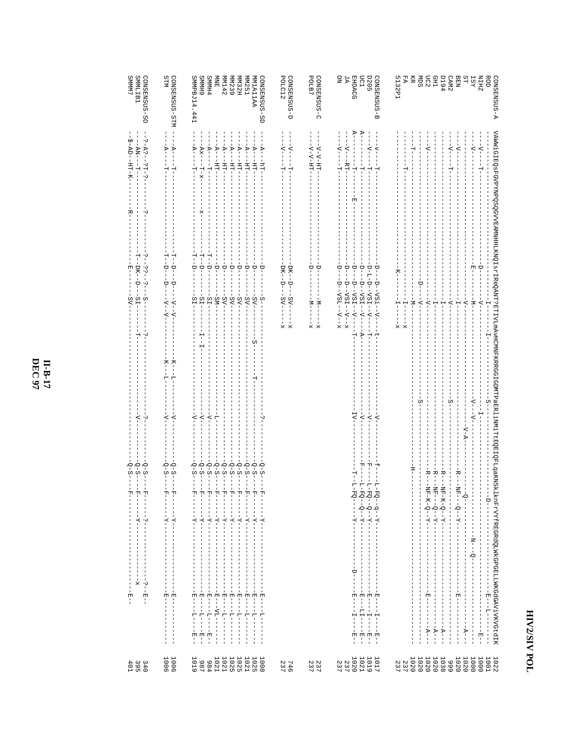| <b>SMMM77</b><br>SMMLIB1<br>CONSENSUS-SO                                                               | STM<br>CONSENSUS-STM                                                                                                                                                                                                                                                                                                                                                                                                                                                            | SMMPBJ14.441<br>6 HMMS<br>CONSENSISS-SD<br><b>SMMH4</b><br>MM142<br><b>MN251</b><br><b>AAILAIMM</b><br>旨因<br>MM239<br><b>MM32H</b>                                                                                                                                                                                                                                                                                                                                 | POLC12<br>GONSENSUS-D<br>CONSENSUS-C<br>POLB7                           | 9<br>A.<br>pc1<br><b>D205</b><br><b>EHOACG</b><br>CONSENSUS-<br>ω                                                                                                                                                                                                                                                            | <b>BESE</b><br><b>ROD</b><br>5132P1<br>FA<br>BEN<br>CAM2<br>D194<br>SΤ<br>ZHIN<br><b>CONSENSUS-A</b><br>Ř<br><b>TST</b>                                                                                                                                                                                                                                                                                                                                                                                                                                                           |
|--------------------------------------------------------------------------------------------------------|---------------------------------------------------------------------------------------------------------------------------------------------------------------------------------------------------------------------------------------------------------------------------------------------------------------------------------------------------------------------------------------------------------------------------------------------------------------------------------|--------------------------------------------------------------------------------------------------------------------------------------------------------------------------------------------------------------------------------------------------------------------------------------------------------------------------------------------------------------------------------------------------------------------------------------------------------------------|-------------------------------------------------------------------------|------------------------------------------------------------------------------------------------------------------------------------------------------------------------------------------------------------------------------------------------------------------------------------------------------------------------------|-----------------------------------------------------------------------------------------------------------------------------------------------------------------------------------------------------------------------------------------------------------------------------------------------------------------------------------------------------------------------------------------------------------------------------------------------------------------------------------------------------------------------------------------------------------------------------------|
| $-3 - 23 - -51 - 5$<br>5-ND--HH-K-<br>- - AN - - -                                                     | $-4-1$<br>$\overline{P}$<br>н<br>부                                                                                                                                                                                                                                                                                                                                                                                                                                              | $-4-$<br>- A-<br>$-4-$<br>$-\Delta$ -<br>$-\Delta$ -<br>$-AXX$ --<br>$-V -$<br>$-V-$<br>$\frac{1}{2}$<br>$\frac{1}{2}$<br>$-1$<br>$-1$<br>--<br>中<br>$-1$<br>$-11$<br>$-1$<br>$-LH-$<br>$\frac{1}{111}$<br>부<br>$-x-T$                                                                                                                                                                                                                                             | $-2$ - $\sim$ - -<br>- ユュコーム - イー<br>$-2$ - $\sim$ - -<br>Ĥ<br>부        | $-1 - \Lambda - -$<br>$-1$ - $-1$<br>$-\Delta$ -<br>$-\Delta$ -<br>$-121$<br>$\frac{1}{1}$<br>$\frac{1}{1}$<br>$-1 -$<br>ŧ<br>부<br>부                                                                                                                                                                                         | $-4$<br>- - ^-<br>$-2 - 1$<br>$-\Delta$ -<br>$-\Delta$ -<br>부                                                                                                                                                                                                                                                                                                                                                                                                                                                                                                                     |
| ن.<br>ن-<br>ا<br>$-15$<br>ς<br>Γ                                                                       | Ė<br>부<br>Ģ<br>Ļ<br>÷<br>P<br>$-\Delta - -\Delta -$<br>$-\Delta - -1$                                                                                                                                                                                                                                                                                                                                                                                                           | با<br>ا<br>۲I<br>ا<br>$-1$<br>ı<br>à<br>p<br>U<br>Ļ<br>무<br>h<br>Ļ<br>∪<br>U<br>SI.<br>$-15-$<br>$-SM$ -<br>$-SV$ -<br>$-SV -$<br>$-1S$<br>$-SV -$<br>$-SV -$<br>$-AS$<br>co                                                                                                                                                                                                                                                                                       | DK---D--<br>DK---D--<br>Ļ<br>-- - - - -<br>$-SV - -$                    | Ļ<br>Ļ<br>Ļ<br>$-1 - 2 - 1 - 2 - 1$<br>ŗ<br>$x - -\Lambda - 15\Lambda - -\Lambda -$<br>$-D$ - $\Lambda$ z<br>-- $\Lambda$ -- $\Lambda$                                                                                                                                                                                       | VANW1GIEQSFGVPYNPQSQGVVEAMNHHLKNQIsrIFeQANT?ETIVLmAvHCMNFKRRGGIGDMTPaER11NM1TtEQBIQFLqaKNSKl\nrFvVfREGRdQDLMKGPGELLMKGGGAViVKVGtdIK<br>ŗ<br>Ù<br>$-\Delta$ -<br>$-\Delta$ -<br>$-\mathbb{N}$<br>$\overline{\zeta}$<br>$\frac{1}{2}$<br>$\overline{\overline{X}}$<br>Ĥ<br>Ĥ<br>Ţ                                                                                                                                                                                                                                                                                                   |
|                                                                                                        | K-<br>주<br>٣<br>◁                                                                                                                                                                                                                                                                                                                                                                                                                                                               | $\overline{\wedge}$                                                                                                                                                                                                                                                                                                                                                                                                                                                | $x - 1$<br>$x -$<br>$\stackrel{1}{\times}$<br>$\mathsf{x}^{\mathsf{I}}$ | $-4-$<br>$\frac{1}{7}$<br>$-\Delta$ -<br>$-4-$<br>$-\Delta$ -                                                                                                                                                                                                                                                                | $\stackrel{1}{\times}$<br>$\mathsf{x}^{\mathsf{I}}$<br>$\frac{1}{1}$<br>က်<br>S                                                                                                                                                                                                                                                                                                                                                                                                                                                                                                   |
| $\frac{5}{3}$<br>$\frac{6}{5}$<br>Ö,<br>w                                                              | ₹<br>$\frac{6}{3}$<br>$\sum_{i=1}^{n}$<br>C)                                                                                                                                                                                                                                                                                                                                                                                                                                    | $\overline{\phantom{a}}$<br>$\tilde{\gamma}$<br>$-9 - S$<br>$-5 - 8 -$<br>$-9 - 5 -$<br>$-8 - 8 -$<br>-8-8-<br>$-9 - 5$<br>$5 - 5$<br>$Q - S$<br>$S - S$<br>$S - \overline{S}$<br>Ť<br>$\blacksquare$                                                                                                                                                                                                                                                              |                                                                         | $\tilde{C}$<br>吋<br>피                                                                                                                                                                                                                                                                                                        | $N-\Delta$<br>푸<br>ードー<br>ゃ<br>지<br>$R - -N$ F                                                                                                                                                                                                                                                                                                                                                                                                                                                                                                                                    |
| -<br>- 1<br>-<br>피<br>피<br>f<br>T,<br>I<br>$- - X - -$<br>$-1$ - $-1$<br>I<br>$\frac{1}{1}$<br>т<br>ł. | ų<br>피<br>$- -X - -$<br>$- - X - -$<br>$\mathsf I$                                                                                                                                                                                                                                                                                                                                                                                                                              | 可可<br><b>h</b><br><b>TI</b><br><b>TI</b><br><b>TI</b><br>可<br>피<br>피<br>$\frac{1}{1}$<br>$---Y--$<br>$- -x - -$<br>$- -X - -$<br>$- - X - -$<br>$- -X - -$<br>$- - x - -$<br>$- -x - -$<br>$\frac{1}{1}$<br>$-1$<br>$\frac{1}{1}$<br>I<br>Ţ<br>$\frac{1}{1}$<br>п<br>J.                                                                                                                                                                                            |                                                                         | $-1 - 20 - 9 - 2 - 1 -$<br>-- 1-10-00--0----<br>$I - FQ - -$<br>$-1 - 100 - 0 - 1 - 1 - 1$<br>ł                                                                                                                                                                                                                              | $\frac{1}{2}$<br>$\rm _H$<br>$\frac{1}{2}$<br>$-1$<br>$-1$<br>$-K - C - -Y - - - - - -$<br>$-1 - 7 - -1 - -1$<br>$- -x - 0$<br>$\frac{1}{1}$<br>$\frac{1}{1}$<br>$\begin{bmatrix} 1 \\ 1 \\ 1 \end{bmatrix}$<br>$\frac{1}{1}$<br>ł<br>т<br>$\mathsf I$<br>$\mathbb I$<br>$\begin{array}{c} \n 1 \\  1 \\  1\n \end{array}$<br>Ţ<br>$\mathbf{I}$                                                                                                                                                                                                                                   |
| L<br>$\mathsf I$<br>$- - - - - - - - - - -$<br>$x - -$<br>$\frac{1}{2}$                                | $\mathbf{I}$<br>$-1 = \frac{1}{2} - \frac{1}{2} - \frac{1}{2} - \frac{1}{2} - \frac{1}{2} - \frac{1}{2} - \frac{1}{2} - \frac{1}{2} - \frac{1}{2} - \frac{1}{2} - \frac{1}{2} - \frac{1}{2} - \frac{1}{2} - \frac{1}{2} - \frac{1}{2} - \frac{1}{2} - \frac{1}{2} - \frac{1}{2} - \frac{1}{2} - \frac{1}{2} - \frac{1}{2} - \frac{1}{2} - \frac{1}{2} - \frac{1}{2} - \frac{1}{2} - \frac{1}{2} - \frac{1}{2} - \$<br>$\mathbf{I}$<br>$\mathsf I$<br>$\mathsf I$<br>$\mathsf I$ | $  \overline{E}$ $ -$<br>$- \vphantom{1} - \vphantom{1} \Sigma - - \vphantom{1} - \vphantom{1} \Sigma -$<br>$ \overline{B}$ $ -$<br>$  \overline{E}$ $ -$<br>$-1 - 21 -$<br>$-1 - 2 - 1$<br>$\frac{1}{\sqrt{2}}$<br>$-1 - 2 -$<br>$\frac{1}{\pi}$<br>$\frac{1}{1}$<br>$-1 - 1 - -1 - 1$<br>$-1 - 1 -$<br>$-\frac{1}{1}$<br>$-1$<br>$\begin{bmatrix} 1 \\ 1 \\ 1 \\ 1 \end{bmatrix}$<br>$\begin{bmatrix} 1 \\ 1 \\ 1 \end{bmatrix}$<br>$\frac{1}{1}$<br>$\mathsf I$ |                                                                         | $  \overline{E}$ $ -$<br>$\begin{split} &\ddots - - - \mathbf{E} - - - - \mathbf{I} - - - - - \mathbf{E} - \\ &\ddots - \mathbf{E} - - - - \mathbf{I} - - - - - \mathbf{E} - \\ &\ddots - \mathbf{E} - - - - \mathbf{L} - - - - - \mathbf{E} - \\ &\ddots - \mathbf{E} - - - - - - - - - - - - - \mathbf{E} - - \end{split}$ | -- 10 - - - 11 - - - - - - - - -<br>$  \overline{E}$ $ -$<br>$-1 - 2 - 1$<br>ţ<br>$\frac{1}{1}$<br>$-1$ $-1$ $-1$ $-1$ $-1$ $-1$<br>$\frac{1}{1}$<br>$\frac{1}{1}$<br>$\frac{1}{1}$<br>$\frac{1}{1}$<br>$\mathsf I$<br>$- - \Delta - - -$<br>$\begin{array}{c} \begin{array}{c} \begin{array}{c} \begin{array}{c} \end{array} \\ \begin{array}{c} \end{array} \\ \begin{array}{c} \end{array} \\ \begin{array}{c} \end{array} \end{array} \end{array} \end{array}$<br>$- - - - - - -$<br>$- -\Delta - -$<br>$\frac{1}{1}$<br>$-4 - -$<br>I<br>$\frac{1}{1}$<br>$\frac{1}{1}$<br>п |
| $3400$<br>$390$<br>$401$                                                                               | 1006<br>1006                                                                                                                                                                                                                                                                                                                                                                                                                                                                    | 1025<br>1021<br><b>1021</b><br>1025<br><b>1021</b><br>1008<br>1025<br>6T0T<br>10T6<br>984                                                                                                                                                                                                                                                                                                                                                                          | 746<br>237<br>237<br>237                                                | 1020<br>1021<br>1017<br>7019<br>2377                                                                                                                                                                                                                                                                                         | 1020<br>1020<br>1020<br>1020<br>880T<br>666<br>1020<br>1020<br>1000<br>1000<br>1022<br>1001<br>237<br>237                                                                                                                                                                                                                                                                                                                                                                                                                                                                         |